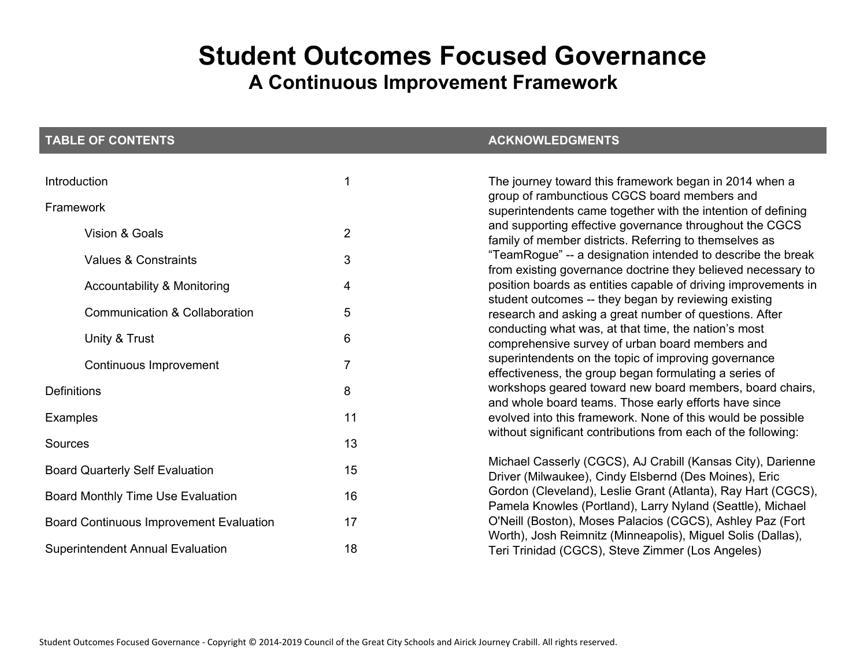# **Student Outcomes Focused Governance**

# **A Continuous Improvement Framework**

| <b>TABLE OF CONTENTS</b>                       |                | <b>ACKNOWLEDGMENTS</b>                                                                                                      |
|------------------------------------------------|----------------|-----------------------------------------------------------------------------------------------------------------------------|
| Introduction                                   | 1              | The journey toward this framework began in 2014 when a                                                                      |
| Framework                                      |                | group of rambunctious CGCS board members and<br>superintendents came together with the intention of defining                |
| Vision & Goals                                 | $\overline{2}$ | and supporting effective governance throughout the CGCS<br>family of member districts. Referring to themselves as           |
| <b>Values &amp; Constraints</b>                | 3              | "TeamRogue" -- a designation intended to describe the break<br>from existing governance doctrine they believed necessary to |
| Accountability & Monitoring                    | 4              | position boards as entities capable of driving improvements in                                                              |
| <b>Communication &amp; Collaboration</b>       | 5              | student outcomes -- they began by reviewing existing<br>research and asking a great number of questions. After              |
| Unity & Trust                                  | 6              | conducting what was, at that time, the nation's most<br>comprehensive survey of urban board members and                     |
| Continuous Improvement                         | $\overline{7}$ | superintendents on the topic of improving governance<br>effectiveness, the group began formulating a series of              |
| <b>Definitions</b>                             | 8              | workshops geared toward new board members, board chairs,<br>and whole board teams. Those early efforts have since           |
| <b>Examples</b>                                | 11             | evolved into this framework. None of this would be possible                                                                 |
| Sources                                        | 13             | without significant contributions from each of the following:                                                               |
| <b>Board Quarterly Self Evaluation</b>         | 15             | Michael Casserly (CGCS), AJ Crabill (Kansas City), Darienne<br>Driver (Milwaukee), Cindy Elsbernd (Des Moines), Eric        |
| Board Monthly Time Use Evaluation              | 16             | Gordon (Cleveland), Leslie Grant (Atlanta), Ray Hart (CGCS),<br>Pamela Knowles (Portland), Larry Nyland (Seattle), Michael  |
| <b>Board Continuous Improvement Evaluation</b> | 17             | O'Neill (Boston), Moses Palacios (CGCS), Ashley Paz (Fort<br>Worth), Josh Reimnitz (Minneapolis), Miguel Solis (Dallas),    |
| <b>Superintendent Annual Evaluation</b>        | 18             | Teri Trinidad (CGCS), Steve Zimmer (Los Angeles)                                                                            |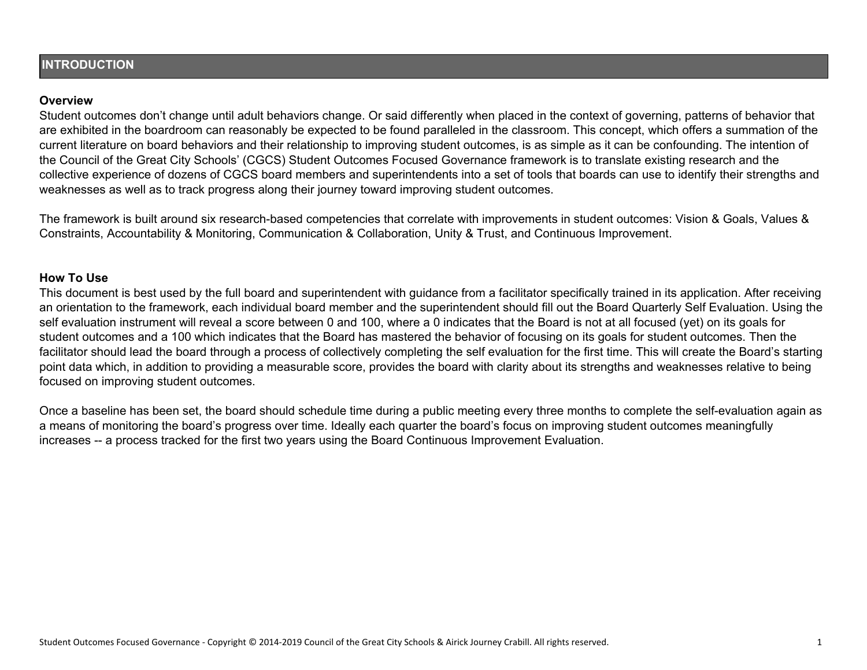#### **INTRODUCTION**

#### **Overview**

Student outcomes don't change until adult behaviors change. Or said differently when placed in the context of governing, patterns of behavior that are exhibited in the boardroom can reasonably be expected to be found paralleled in the classroom. This concept, which offers a summation of the current literature on board behaviors and their relationship to improving student outcomes, is as simple as it can be confounding. The intention of the Council of the Great City Schools' (CGCS) Student Outcomes Focused Governance framework is to translate existing research and the collective experience of dozens of CGCS board members and superintendents into a set of tools that boards can use to identify their strengths and weaknesses as well as to track progress along their journey toward improving student outcomes.

The framework is built around six research-based competencies that correlate with improvements in student outcomes: Vision & Goals, Values & Constraints, Accountability & Monitoring, Communication & Collaboration, Unity & Trust, and Continuous Improvement.

#### **How To Use**

This document is best used by the full board and superintendent with guidance from a facilitator specifically trained in its application. After receiving an orientation to the framework, each individual board member and the superintendent should fill out the Board Quarterly Self Evaluation. Using the self evaluation instrument will reveal a score between 0 and 100, where a 0 indicates that the Board is not at all focused (yet) on its goals for student outcomes and a 100 which indicates that the Board has mastered the behavior of focusing on its goals for student outcomes. Then the facilitator should lead the board through a process of collectively completing the self evaluation for the first time. This will create the Board's starting point data which, in addition to providing a measurable score, provides the board with clarity about its strengths and weaknesses relative to being focused on improving student outcomes.

Once a baseline has been set, the board should schedule time during a public meeting every three months to complete the self-evaluation again as a means of monitoring the board's progress over time. Ideally each quarter the board's focus on improving student outcomes meaningfully increases -- a process tracked for the first two years using the Board Continuous Improvement Evaluation.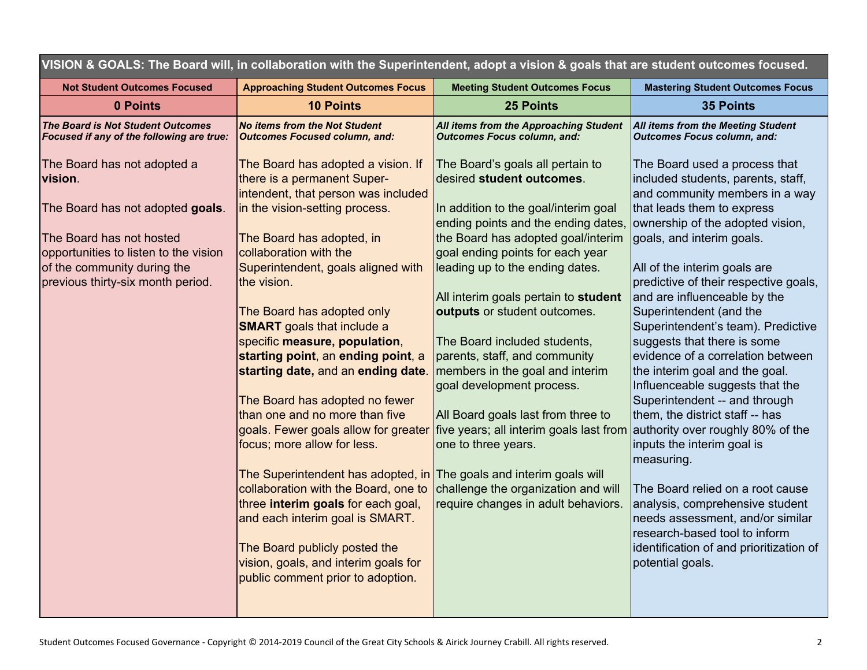| VISION & GOALS: The Board will, in collaboration with the Superintendent, adopt a vision & goals that are student outcomes focused. |                                                                                                             |                                                                              |                                                                                                       |  |  |  |
|-------------------------------------------------------------------------------------------------------------------------------------|-------------------------------------------------------------------------------------------------------------|------------------------------------------------------------------------------|-------------------------------------------------------------------------------------------------------|--|--|--|
| <b>Not Student Outcomes Focused</b>                                                                                                 | <b>Approaching Student Outcomes Focus</b>                                                                   | <b>Meeting Student Outcomes Focus</b>                                        | <b>Mastering Student Outcomes Focus</b>                                                               |  |  |  |
| 0 Points                                                                                                                            | <b>10 Points</b>                                                                                            | <b>25 Points</b>                                                             | <b>35 Points</b>                                                                                      |  |  |  |
| <b>The Board is Not Student Outcomes</b><br>Focused if any of the following are true:                                               | <b>No items from the Not Student</b><br><b>Outcomes Focused column, and:</b>                                | All items from the Approaching Student<br><b>Outcomes Focus column, and:</b> | <b>All items from the Meeting Student</b><br><b>Outcomes Focus column, and:</b>                       |  |  |  |
| The Board has not adopted a<br>vision.                                                                                              | The Board has adopted a vision. If<br>there is a permanent Super-<br>intendent, that person was included    | The Board's goals all pertain to<br>desired student outcomes.                | The Board used a process that<br>included students, parents, staff,<br>and community members in a way |  |  |  |
| The Board has not adopted goals.                                                                                                    | in the vision-setting process.                                                                              | In addition to the goal/interim goal<br>ending points and the ending dates,  | that leads them to express<br>ownership of the adopted vision,                                        |  |  |  |
| The Board has not hosted<br>opportunities to listen to the vision                                                                   | The Board has adopted, in<br>collaboration with the                                                         | the Board has adopted goal/interim<br>goal ending points for each year       | goals, and interim goals.                                                                             |  |  |  |
| of the community during the<br>previous thirty-six month period.                                                                    | Superintendent, goals aligned with<br>the vision.                                                           | leading up to the ending dates.                                              | All of the interim goals are<br>predictive of their respective goals,                                 |  |  |  |
|                                                                                                                                     | The Board has adopted only<br><b>SMART</b> goals that include a                                             | All interim goals pertain to student<br>outputs or student outcomes.         | and are influenceable by the<br>Superintendent (and the<br>Superintendent's team). Predictive         |  |  |  |
|                                                                                                                                     | specific measure, population,<br>starting point, an ending point, a                                         | The Board included students,<br>parents, staff, and community                | suggests that there is some<br>evidence of a correlation between                                      |  |  |  |
|                                                                                                                                     | starting date, and an ending date.                                                                          | members in the goal and interim<br>goal development process.                 | the interim goal and the goal.<br>Influenceable suggests that the                                     |  |  |  |
|                                                                                                                                     | The Board has adopted no fewer<br>than one and no more than five                                            | All Board goals last from three to                                           | Superintendent -- and through<br>them, the district staff -- has                                      |  |  |  |
|                                                                                                                                     | goals. Fewer goals allow for greater<br>focus; more allow for less.                                         | five years; all interim goals last from<br>one to three years.               | authority over roughly 80% of the<br>inputs the interim goal is<br>measuring.                         |  |  |  |
|                                                                                                                                     | The Superintendent has adopted, in The goals and interim goals will<br>collaboration with the Board, one to | challenge the organization and will                                          | The Board relied on a root cause                                                                      |  |  |  |
|                                                                                                                                     | three interim goals for each goal,<br>and each interim goal is SMART.                                       | require changes in adult behaviors.                                          | analysis, comprehensive student<br>needs assessment, and/or similar                                   |  |  |  |
|                                                                                                                                     | The Board publicly posted the<br>vision, goals, and interim goals for                                       |                                                                              | research-based tool to inform<br>identification of and prioritization of<br>potential goals.          |  |  |  |
|                                                                                                                                     | public comment prior to adoption.                                                                           |                                                                              |                                                                                                       |  |  |  |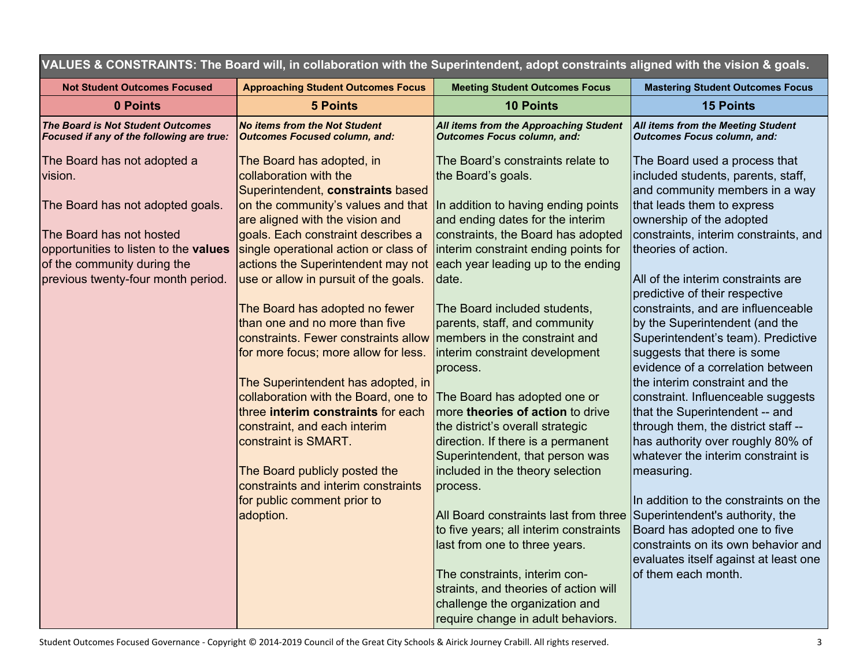|                                                                                                                                                                                                                      | VALUES & CONSTRAINTS: The Board Will, in collaboration with the Superintendent, adopt constraints aligned with the vision & goals.                                                                                                                                                                                                                                                                                                                                                                                                                                                                                                                                                                                                                                                  |                                                                                                                                                                                                                                                                                                                                                                                                                                                                                                                                                                                                                                                                                                                                                                      |                                                                                                                                                                                                                                                                                                                                                                                                                                                                                                                                                                                                                                                                                                                                                                                                                                                                                         |
|----------------------------------------------------------------------------------------------------------------------------------------------------------------------------------------------------------------------|-------------------------------------------------------------------------------------------------------------------------------------------------------------------------------------------------------------------------------------------------------------------------------------------------------------------------------------------------------------------------------------------------------------------------------------------------------------------------------------------------------------------------------------------------------------------------------------------------------------------------------------------------------------------------------------------------------------------------------------------------------------------------------------|----------------------------------------------------------------------------------------------------------------------------------------------------------------------------------------------------------------------------------------------------------------------------------------------------------------------------------------------------------------------------------------------------------------------------------------------------------------------------------------------------------------------------------------------------------------------------------------------------------------------------------------------------------------------------------------------------------------------------------------------------------------------|-----------------------------------------------------------------------------------------------------------------------------------------------------------------------------------------------------------------------------------------------------------------------------------------------------------------------------------------------------------------------------------------------------------------------------------------------------------------------------------------------------------------------------------------------------------------------------------------------------------------------------------------------------------------------------------------------------------------------------------------------------------------------------------------------------------------------------------------------------------------------------------------|
| <b>Not Student Outcomes Focused</b>                                                                                                                                                                                  | <b>Approaching Student Outcomes Focus</b>                                                                                                                                                                                                                                                                                                                                                                                                                                                                                                                                                                                                                                                                                                                                           | <b>Meeting Student Outcomes Focus</b>                                                                                                                                                                                                                                                                                                                                                                                                                                                                                                                                                                                                                                                                                                                                | <b>Mastering Student Outcomes Focus</b>                                                                                                                                                                                                                                                                                                                                                                                                                                                                                                                                                                                                                                                                                                                                                                                                                                                 |
| 0 Points                                                                                                                                                                                                             | <b>5 Points</b>                                                                                                                                                                                                                                                                                                                                                                                                                                                                                                                                                                                                                                                                                                                                                                     | <b>10 Points</b>                                                                                                                                                                                                                                                                                                                                                                                                                                                                                                                                                                                                                                                                                                                                                     | <b>15 Points</b>                                                                                                                                                                                                                                                                                                                                                                                                                                                                                                                                                                                                                                                                                                                                                                                                                                                                        |
| The Board is Not Student Outcomes<br>Focused if any of the following are true:                                                                                                                                       | <b>No items from the Not Student</b><br><b>Outcomes Focused column, and:</b>                                                                                                                                                                                                                                                                                                                                                                                                                                                                                                                                                                                                                                                                                                        | All items from the Approaching Student<br><b>Outcomes Focus column, and:</b>                                                                                                                                                                                                                                                                                                                                                                                                                                                                                                                                                                                                                                                                                         | All items from the Meeting Student<br><b>Outcomes Focus column, and:</b>                                                                                                                                                                                                                                                                                                                                                                                                                                                                                                                                                                                                                                                                                                                                                                                                                |
| The Board has not adopted a<br>vision.<br>The Board has not adopted goals.<br>The Board has not hosted<br>opportunities to listen to the values<br>of the community during the<br>previous twenty-four month period. | The Board has adopted, in<br>collaboration with the<br>Superintendent, constraints based<br>on the community's values and that<br>are aligned with the vision and<br>goals. Each constraint describes a<br>single operational action or class of<br>actions the Superintendent may not<br>use or allow in pursuit of the goals.<br>The Board has adopted no fewer<br>than one and no more than five<br>constraints. Fewer constraints allow<br>for more focus; more allow for less.<br>The Superintendent has adopted, in<br>collaboration with the Board, one to<br>three interim constraints for each<br>constraint, and each interim<br>constraint is SMART.<br>The Board publicly posted the<br>constraints and interim constraints<br>for public comment prior to<br>adoption. | The Board's constraints relate to<br>the Board's goals.<br>In addition to having ending points<br>and ending dates for the interim<br>constraints, the Board has adopted<br>interim constraint ending points for<br>each year leading up to the ending<br>date.<br>The Board included students,<br>parents, staff, and community<br>members in the constraint and<br>interim constraint development<br>process.<br>The Board has adopted one or<br>more theories of action to drive<br>the district's overall strategic<br>direction. If there is a permanent<br>Superintendent, that person was<br>included in the theory selection<br>process.<br>All Board constraints last from three<br>to five years; all interim constraints<br>last from one to three years. | The Board used a process that<br>included students, parents, staff,<br>and community members in a way<br>that leads them to express<br>ownership of the adopted<br>constraints, interim constraints, and<br>theories of action.<br>All of the interim constraints are<br>predictive of their respective<br>constraints, and are influenceable<br>by the Superintendent (and the<br>Superintendent's team). Predictive<br>suggests that there is some<br>evidence of a correlation between<br>the interim constraint and the<br>constraint. Influenceable suggests<br>that the Superintendent -- and<br>through them, the district staff --<br>has authority over roughly 80% of<br>whatever the interim constraint is<br>measuring.<br>In addition to the constraints on the<br>Superintendent's authority, the<br>Board has adopted one to five<br>constraints on its own behavior and |
|                                                                                                                                                                                                                      |                                                                                                                                                                                                                                                                                                                                                                                                                                                                                                                                                                                                                                                                                                                                                                                     | The constraints, interim con-<br>straints, and theories of action will<br>challenge the organization and                                                                                                                                                                                                                                                                                                                                                                                                                                                                                                                                                                                                                                                             | evaluates itself against at least one<br>of them each month.                                                                                                                                                                                                                                                                                                                                                                                                                                                                                                                                                                                                                                                                                                                                                                                                                            |
|                                                                                                                                                                                                                      |                                                                                                                                                                                                                                                                                                                                                                                                                                                                                                                                                                                                                                                                                                                                                                                     | require change in adult behaviors.                                                                                                                                                                                                                                                                                                                                                                                                                                                                                                                                                                                                                                                                                                                                   |                                                                                                                                                                                                                                                                                                                                                                                                                                                                                                                                                                                                                                                                                                                                                                                                                                                                                         |

VALUES & CONSTRAINTS: The Reard will in colleboration with the Sunovintendent adont constraints sligned with the vision & geolo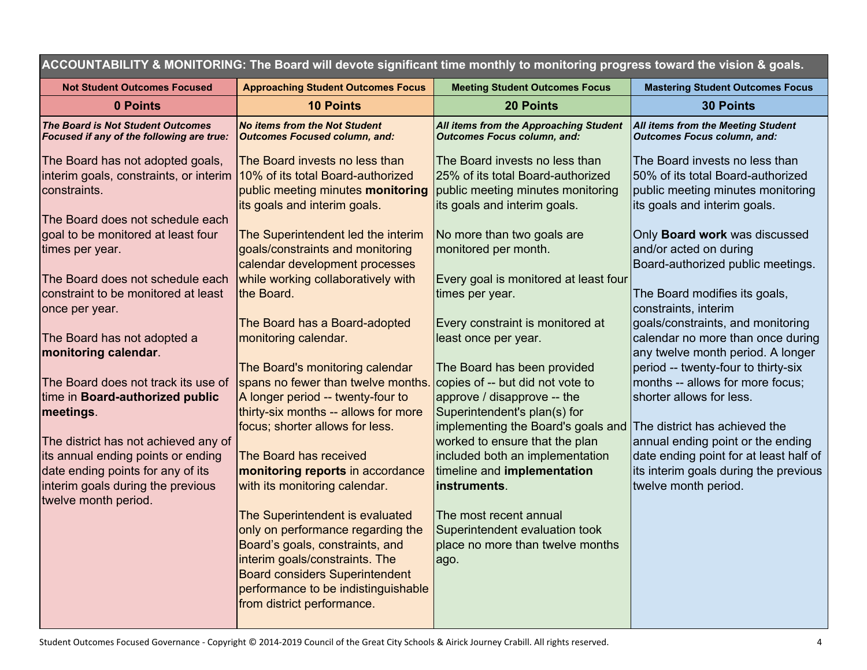| ACCOUNTABILITY & MONITORING: The Board will devote significant time monthly to monitoring progress toward the vision & goals.                        |                                                                                                                                                                                                                                                         |                                                                                                                                                        |                                                                                                                                                                               |
|------------------------------------------------------------------------------------------------------------------------------------------------------|---------------------------------------------------------------------------------------------------------------------------------------------------------------------------------------------------------------------------------------------------------|--------------------------------------------------------------------------------------------------------------------------------------------------------|-------------------------------------------------------------------------------------------------------------------------------------------------------------------------------|
| <b>Not Student Outcomes Focused</b>                                                                                                                  | <b>Approaching Student Outcomes Focus</b>                                                                                                                                                                                                               | <b>Meeting Student Outcomes Focus</b>                                                                                                                  | <b>Mastering Student Outcomes Focus</b>                                                                                                                                       |
| 0 Points                                                                                                                                             | <b>10 Points</b>                                                                                                                                                                                                                                        | <b>20 Points</b>                                                                                                                                       | <b>30 Points</b>                                                                                                                                                              |
| <b>The Board is Not Student Outcomes</b><br>Focused if any of the following are true:                                                                | <b>No items from the Not Student</b><br><b>Outcomes Focused column, and:</b>                                                                                                                                                                            | All items from the Approaching Student<br><b>Outcomes Focus column, and:</b>                                                                           | All items from the Meeting Student<br><b>Outcomes Focus column, and:</b>                                                                                                      |
| The Board has not adopted goals,<br>interim goals, constraints, or interim 10% of its total Board-authorized<br>constraints.                         | The Board invests no less than<br>public meeting minutes monitoring<br>its goals and interim goals.                                                                                                                                                     | The Board invests no less than<br>25% of its total Board-authorized<br>public meeting minutes monitoring<br>its goals and interim goals.               | The Board invests no less than<br>50% of its total Board-authorized<br>public meeting minutes monitoring<br>its goals and interim goals.                                      |
| The Board does not schedule each<br>goal to be monitored at least four<br>times per year.                                                            | The Superintendent led the interim<br>goals/constraints and monitoring<br>calendar development processes                                                                                                                                                | No more than two goals are<br>monitored per month.                                                                                                     | Only Board work was discussed<br>and/or acted on during<br>Board-authorized public meetings.                                                                                  |
| The Board does not schedule each<br>constraint to be monitored at least<br>once per year.                                                            | while working collaboratively with<br>the Board.                                                                                                                                                                                                        | Every goal is monitored at least four<br>times per year.                                                                                               | The Board modifies its goals,<br>constraints, interim                                                                                                                         |
| The Board has not adopted a<br>monitoring calendar.                                                                                                  | The Board has a Board-adopted<br>monitoring calendar.<br>The Board's monitoring calendar                                                                                                                                                                | Every constraint is monitored at<br>least once per year.<br>The Board has been provided                                                                | goals/constraints, and monitoring<br>calendar no more than once during<br>any twelve month period. A longer<br>period -- twenty-four to thirty-six                            |
| The Board does not track its use of<br>time in Board-authorized public<br>meetings.                                                                  | spans no fewer than twelve months.<br>A longer period -- twenty-four to<br>thirty-six months -- allows for more                                                                                                                                         | copies of -- but did not vote to<br>approve / disapprove -- the<br>Superintendent's plan(s) for                                                        | months -- allows for more focus;<br>shorter allows for less.                                                                                                                  |
| The district has not achieved any of<br>its annual ending points or ending<br>date ending points for any of its<br>interim goals during the previous | focus; shorter allows for less.<br>The Board has received<br>monitoring reports in accordance<br>with its monitoring calendar.                                                                                                                          | implementing the Board's goals and<br>worked to ensure that the plan<br>included both an implementation<br>timeline and implementation<br>instruments. | The district has achieved the<br>annual ending point or the ending<br>date ending point for at least half of<br>its interim goals during the previous<br>twelve month period. |
| twelve month period.                                                                                                                                 | The Superintendent is evaluated<br>only on performance regarding the<br>Board's goals, constraints, and<br>interim goals/constraints. The<br><b>Board considers Superintendent</b><br>performance to be indistinguishable<br>from district performance. | The most recent annual<br>Superintendent evaluation took<br>place no more than twelve months<br>ago.                                                   |                                                                                                                                                                               |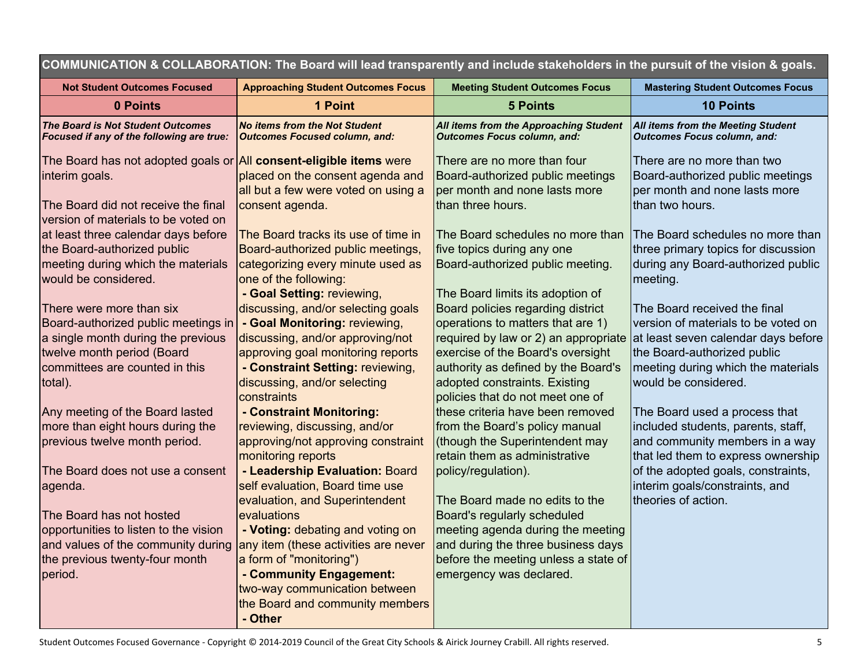| COMMUNICATION & COLLABORATION: The Board will lead transparently and include stakeholders in the pursuit of the vision & goals. |                                                                              |                                                                              |                                                                           |
|---------------------------------------------------------------------------------------------------------------------------------|------------------------------------------------------------------------------|------------------------------------------------------------------------------|---------------------------------------------------------------------------|
| <b>Not Student Outcomes Focused</b>                                                                                             | <b>Approaching Student Outcomes Focus</b>                                    | <b>Meeting Student Outcomes Focus</b>                                        | <b>Mastering Student Outcomes Focus</b>                                   |
| 0 Points                                                                                                                        | 1 Point                                                                      | <b>5 Points</b>                                                              | <b>10 Points</b>                                                          |
| <b>The Board is Not Student Outcomes</b><br>Focused if any of the following are true:                                           | <b>No items from the Not Student</b><br><b>Outcomes Focused column, and:</b> | All items from the Approaching Student<br><b>Outcomes Focus column, and:</b> | All items from the Meeting Student<br><b>Outcomes Focus column, and:</b>  |
| The Board has not adopted goals or $\vert$ All consent-eligible items were                                                      |                                                                              | There are no more than four                                                  | There are no more than two                                                |
| interim goals.                                                                                                                  | placed on the consent agenda and                                             | Board-authorized public meetings                                             | Board-authorized public meetings                                          |
|                                                                                                                                 | all but a few were voted on using a                                          | per month and none lasts more                                                | per month and none lasts more                                             |
| The Board did not receive the final                                                                                             | consent agenda.                                                              | than three hours.                                                            | than two hours.                                                           |
| version of materials to be voted on                                                                                             |                                                                              |                                                                              |                                                                           |
| at least three calendar days before                                                                                             | The Board tracks its use of time in                                          | The Board schedules no more than                                             | The Board schedules no more than                                          |
| the Board-authorized public<br>meeting during which the materials                                                               | Board-authorized public meetings,<br>categorizing every minute used as       | five topics during any one<br>Board-authorized public meeting.               | three primary topics for discussion<br>during any Board-authorized public |
| would be considered.                                                                                                            | one of the following:                                                        |                                                                              | meeting.                                                                  |
|                                                                                                                                 | - Goal Setting: reviewing,                                                   | The Board limits its adoption of                                             |                                                                           |
| There were more than six                                                                                                        | discussing, and/or selecting goals                                           | Board policies regarding district                                            | The Board received the final                                              |
| Board-authorized public meetings in                                                                                             | - Goal Monitoring: reviewing,                                                | operations to matters that are 1)                                            | version of materials to be voted on                                       |
| a single month during the previous                                                                                              | discussing, and/or approving/not                                             | required by law or 2) an appropriate at least seven calendar days before     |                                                                           |
| twelve month period (Board                                                                                                      | approving goal monitoring reports                                            | exercise of the Board's oversight                                            | the Board-authorized public                                               |
| committees are counted in this                                                                                                  | - Constraint Setting: reviewing,                                             | authority as defined by the Board's                                          | meeting during which the materials                                        |
| total).                                                                                                                         | discussing, and/or selecting                                                 | adopted constraints. Existing                                                | would be considered.                                                      |
| Any meeting of the Board lasted                                                                                                 | constraints<br>- Constraint Monitoring:                                      | policies that do not meet one of<br>these criteria have been removed         | The Board used a process that                                             |
| more than eight hours during the                                                                                                | reviewing, discussing, and/or                                                | from the Board's policy manual                                               | included students, parents, staff,                                        |
| previous twelve month period.                                                                                                   | approving/not approving constraint                                           | (though the Superintendent may                                               | and community members in a way                                            |
|                                                                                                                                 | monitoring reports                                                           | retain them as administrative                                                | that led them to express ownership                                        |
| The Board does not use a consent                                                                                                | - Leadership Evaluation: Board                                               | policy/regulation).                                                          | of the adopted goals, constraints,                                        |
| agenda.                                                                                                                         | self evaluation, Board time use                                              |                                                                              | interim goals/constraints, and                                            |
|                                                                                                                                 | evaluation, and Superintendent                                               | The Board made no edits to the                                               | theories of action.                                                       |
| The Board has not hosted                                                                                                        | evaluations                                                                  | Board's regularly scheduled                                                  |                                                                           |
| opportunities to listen to the vision                                                                                           | - Voting: debating and voting on                                             | meeting agenda during the meeting                                            |                                                                           |
| and values of the community during<br>the previous twenty-four month                                                            | any item (these activities are never<br>a form of "monitoring")              | and during the three business days<br>before the meeting unless a state of   |                                                                           |
| period.                                                                                                                         | - Community Engagement:                                                      | emergency was declared.                                                      |                                                                           |
|                                                                                                                                 | two-way communication between                                                |                                                                              |                                                                           |
|                                                                                                                                 | the Board and community members                                              |                                                                              |                                                                           |
|                                                                                                                                 | - Other                                                                      |                                                                              |                                                                           |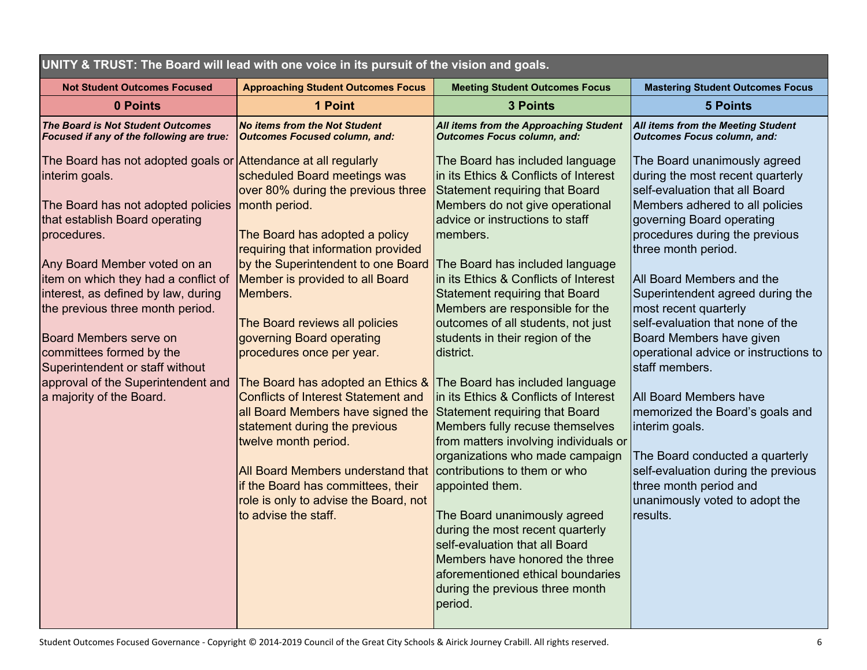| UNITY & TRUST: The Board will lead with one voice in its pursuit of the vision and goals.                                                                                                                                                                                                                                                                                                                                                                                                    |                                                                                                                                                                                                                                                                                                                                                                                                                                                                                                                                                                                                                                                                            |                                                                                                                                                                                                                                                                                                                                                                                                                                                                                                                                                                                                                                                                                                                                                                                                                                                                                  |                                                                                                                                                                                                                                                                                                                                                                                                                                                                                                                                                                                                                                                                                          |  |  |  |
|----------------------------------------------------------------------------------------------------------------------------------------------------------------------------------------------------------------------------------------------------------------------------------------------------------------------------------------------------------------------------------------------------------------------------------------------------------------------------------------------|----------------------------------------------------------------------------------------------------------------------------------------------------------------------------------------------------------------------------------------------------------------------------------------------------------------------------------------------------------------------------------------------------------------------------------------------------------------------------------------------------------------------------------------------------------------------------------------------------------------------------------------------------------------------------|----------------------------------------------------------------------------------------------------------------------------------------------------------------------------------------------------------------------------------------------------------------------------------------------------------------------------------------------------------------------------------------------------------------------------------------------------------------------------------------------------------------------------------------------------------------------------------------------------------------------------------------------------------------------------------------------------------------------------------------------------------------------------------------------------------------------------------------------------------------------------------|------------------------------------------------------------------------------------------------------------------------------------------------------------------------------------------------------------------------------------------------------------------------------------------------------------------------------------------------------------------------------------------------------------------------------------------------------------------------------------------------------------------------------------------------------------------------------------------------------------------------------------------------------------------------------------------|--|--|--|
| <b>Not Student Outcomes Focused</b>                                                                                                                                                                                                                                                                                                                                                                                                                                                          | <b>Approaching Student Outcomes Focus</b>                                                                                                                                                                                                                                                                                                                                                                                                                                                                                                                                                                                                                                  | <b>Meeting Student Outcomes Focus</b>                                                                                                                                                                                                                                                                                                                                                                                                                                                                                                                                                                                                                                                                                                                                                                                                                                            | <b>Mastering Student Outcomes Focus</b>                                                                                                                                                                                                                                                                                                                                                                                                                                                                                                                                                                                                                                                  |  |  |  |
| 0 Points                                                                                                                                                                                                                                                                                                                                                                                                                                                                                     | 1 Point                                                                                                                                                                                                                                                                                                                                                                                                                                                                                                                                                                                                                                                                    | <b>3 Points</b>                                                                                                                                                                                                                                                                                                                                                                                                                                                                                                                                                                                                                                                                                                                                                                                                                                                                  | <b>5 Points</b>                                                                                                                                                                                                                                                                                                                                                                                                                                                                                                                                                                                                                                                                          |  |  |  |
| The Board is Not Student Outcomes<br>Focused if any of the following are true:                                                                                                                                                                                                                                                                                                                                                                                                               | <b>No items from the Not Student</b><br><b>Outcomes Focused column, and:</b>                                                                                                                                                                                                                                                                                                                                                                                                                                                                                                                                                                                               | All items from the Approaching Student<br><b>Outcomes Focus column, and:</b>                                                                                                                                                                                                                                                                                                                                                                                                                                                                                                                                                                                                                                                                                                                                                                                                     | All items from the Meeting Student<br><b>Outcomes Focus column, and:</b>                                                                                                                                                                                                                                                                                                                                                                                                                                                                                                                                                                                                                 |  |  |  |
| The Board has not adopted goals or Attendance at all regularly<br>interim goals.<br>The Board has not adopted policies<br>that establish Board operating<br>procedures.<br>Any Board Member voted on an<br>item on which they had a conflict of<br>interest, as defined by law, during<br>the previous three month period.<br><b>Board Members serve on</b><br>committees formed by the<br>Superintendent or staff without<br>approval of the Superintendent and<br>a majority of the Board. | scheduled Board meetings was<br>over 80% during the previous three<br>month period.<br>The Board has adopted a policy<br>requiring that information provided<br>by the Superintendent to one Board<br>Member is provided to all Board<br>Members.<br>The Board reviews all policies<br>governing Board operating<br>procedures once per year.<br>The Board has adopted an Ethics &<br>Conflicts of Interest Statement and<br>all Board Members have signed the<br>statement during the previous<br>twelve month period.<br><b>All Board Members understand that</b><br>if the Board has committees, their<br>role is only to advise the Board, not<br>to advise the staff. | The Board has included language<br>in its Ethics & Conflicts of Interest<br><b>Statement requiring that Board</b><br>Members do not give operational<br>advice or instructions to staff<br>members.<br>The Board has included language<br>in its Ethics & Conflicts of Interest<br><b>Statement requiring that Board</b><br>Members are responsible for the<br>outcomes of all students, not just<br>students in their region of the<br>district.<br>The Board has included language<br>in its Ethics & Conflicts of Interest<br><b>Statement requiring that Board</b><br>Members fully recuse themselves<br>from matters involving individuals or<br>organizations who made campaign<br>contributions to them or who<br>appointed them.<br>The Board unanimously agreed<br>during the most recent quarterly<br>self-evaluation that all Board<br>Members have honored the three | The Board unanimously agreed<br>during the most recent quarterly<br>self-evaluation that all Board<br>Members adhered to all policies<br>governing Board operating<br>procedures during the previous<br>three month period.<br>All Board Members and the<br>Superintendent agreed during the<br>most recent quarterly<br>self-evaluation that none of the<br>Board Members have given<br>operational advice or instructions to<br>staff members.<br><b>All Board Members have</b><br>memorized the Board's goals and<br>interim goals.<br>The Board conducted a quarterly<br>self-evaluation during the previous<br>three month period and<br>unanimously voted to adopt the<br>results. |  |  |  |
|                                                                                                                                                                                                                                                                                                                                                                                                                                                                                              |                                                                                                                                                                                                                                                                                                                                                                                                                                                                                                                                                                                                                                                                            | aforementioned ethical boundaries<br>during the previous three month<br>period.                                                                                                                                                                                                                                                                                                                                                                                                                                                                                                                                                                                                                                                                                                                                                                                                  |                                                                                                                                                                                                                                                                                                                                                                                                                                                                                                                                                                                                                                                                                          |  |  |  |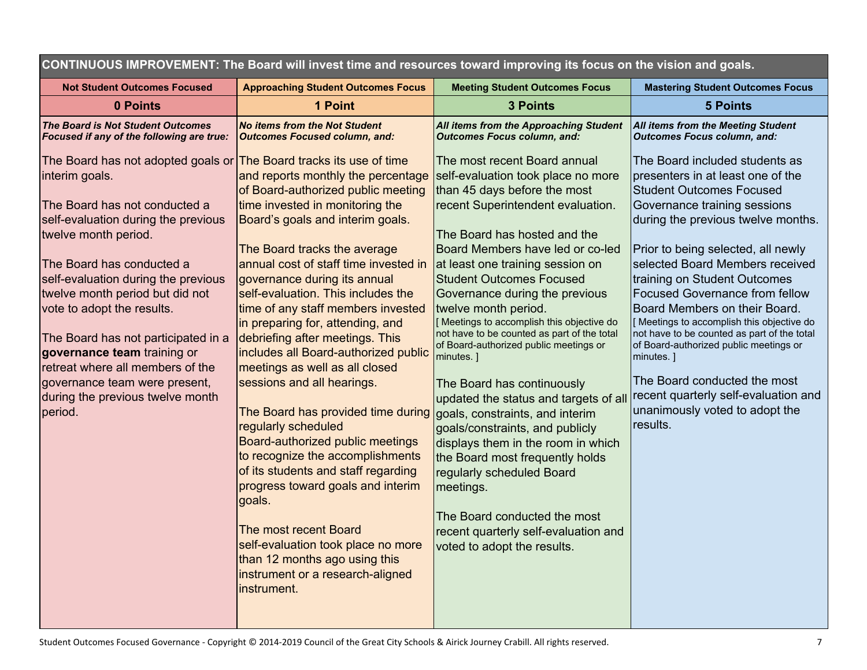CONTINUOUS IMPROVEMENT: The Board will invest time and resources toward improving its focus on the vision and goals.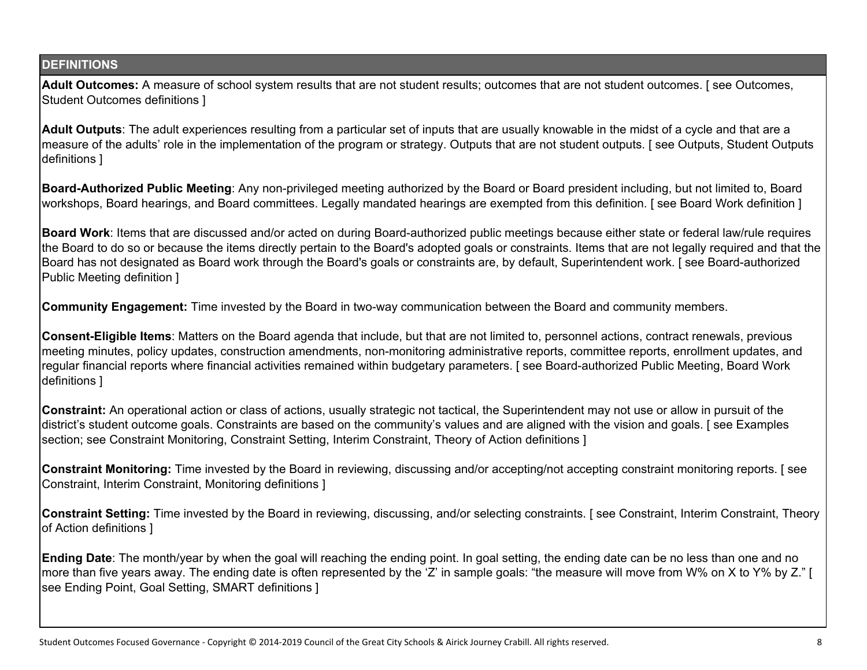# **DEFINITIONS**

**Adult Outcomes:** A measure of school system results that are not student results; outcomes that are not student outcomes. [ see Outcomes, Student Outcomes definitions ]

**Adult Outputs**: The adult experiences resulting from a particular set of inputs that are usually knowable in the midst of a cycle and that are a measure of the adults' role in the implementation of the program or strategy. Outputs that are not student outputs. [ see Outputs, Student Outputs definitions ]

**Board-Authorized Public Meeting**: Any non-privileged meeting authorized by the Board or Board president including, but not limited to, Board workshops, Board hearings, and Board committees. Legally mandated hearings are exempted from this definition. [ see Board Work definition ]

**Board Work**: Items that are discussed and/or acted on during Board-authorized public meetings because either state or federal law/rule requires the Board to do so or because the items directly pertain to the Board's adopted goals or constraints. Items that are not legally required and that the Board has not designated as Board work through the Board's goals or constraints are, by default, Superintendent work. [ see Board-authorized Public Meeting definition ]

**Community Engagement:** Time invested by the Board in two-way communication between the Board and community members.

**Consent-Eligible Items**: Matters on the Board agenda that include, but that are not limited to, personnel actions, contract renewals, previous meeting minutes, policy updates, construction amendments, non-monitoring administrative reports, committee reports, enrollment updates, and regular financial reports where financial activities remained within budgetary parameters. [ see Board-authorized Public Meeting, Board Work definitions ]

**Constraint:** An operational action or class of actions, usually strategic not tactical, the Superintendent may not use or allow in pursuit of the district's student outcome goals. Constraints are based on the community's values and are aligned with the vision and goals. [ see Examples section; see Constraint Monitoring, Constraint Setting, Interim Constraint, Theory of Action definitions ]

**Constraint Monitoring:** Time invested by the Board in reviewing, discussing and/or accepting/not accepting constraint monitoring reports. [ see Constraint, Interim Constraint, Monitoring definitions ]

**Constraint Setting:** Time invested by the Board in reviewing, discussing, and/or selecting constraints. [ see Constraint, Interim Constraint, Theory of Action definitions ]

**Ending Date**: The month/year by when the goal will reaching the ending point. In goal setting, the ending date can be no less than one and no more than five years away. The ending date is often represented by the 'Z' in sample goals: "the measure will move from W% on X to Y% by Z." [ see Ending Point, Goal Setting, SMART definitions ]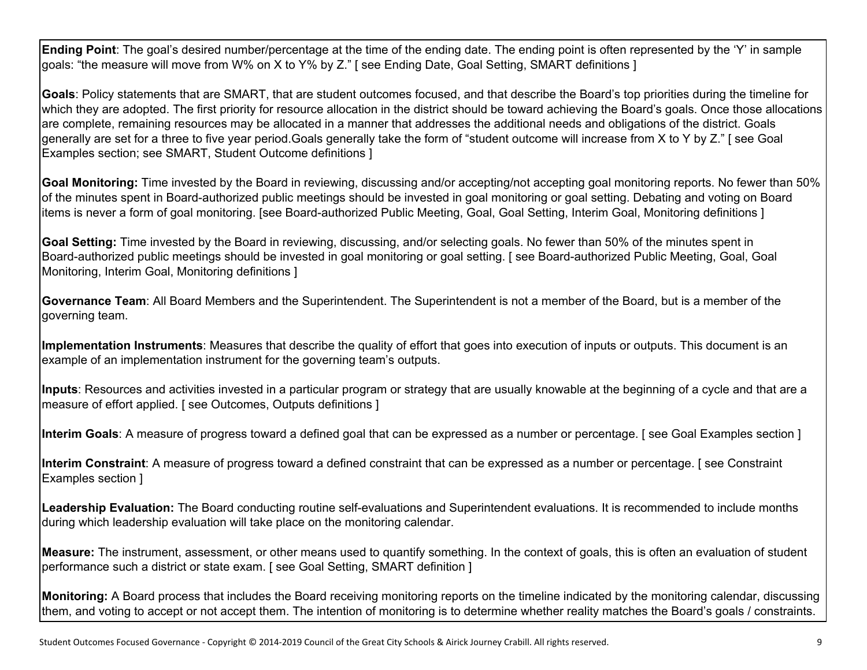**Ending Point**: The goal's desired number/percentage at the time of the ending date. The ending point is often represented by the 'Y' in sample goals: "the measure will move from W% on X to Y% by Z." [ see Ending Date, Goal Setting, SMART definitions ]

**Goals**: Policy statements that are SMART, that are student outcomes focused, and that describe the Board's top priorities during the timeline for which they are adopted. The first priority for resource allocation in the district should be toward achieving the Board's goals. Once those allocations are complete, remaining resources may be allocated in a manner that addresses the additional needs and obligations of the district. Goals generally are set for a three to five year period.Goals generally take the form of "student outcome will increase from X to Y by Z." [ see Goal Examples section; see SMART, Student Outcome definitions ]

**Goal Monitoring:** Time invested by the Board in reviewing, discussing and/or accepting/not accepting goal monitoring reports. No fewer than 50% of the minutes spent in Board-authorized public meetings should be invested in goal monitoring or goal setting. Debating and voting on Board items is never a form of goal monitoring. [see Board-authorized Public Meeting, Goal, Goal Setting, Interim Goal, Monitoring definitions ]

**Goal Setting:** Time invested by the Board in reviewing, discussing, and/or selecting goals. No fewer than 50% of the minutes spent in Board-authorized public meetings should be invested in goal monitoring or goal setting. [ see Board-authorized Public Meeting, Goal, Goal Monitoring, Interim Goal, Monitoring definitions ]

**Governance Team**: All Board Members and the Superintendent. The Superintendent is not a member of the Board, but is a member of the governing team.

**Implementation Instruments**: Measures that describe the quality of effort that goes into execution of inputs or outputs. This document is an example of an implementation instrument for the governing team's outputs.

**Inputs**: Resources and activities invested in a particular program or strategy that are usually knowable at the beginning of a cycle and that are a measure of effort applied. [ see Outcomes, Outputs definitions ]

**Interim Goals**: A measure of progress toward a defined goal that can be expressed as a number or percentage. [ see Goal Examples section ]

**Interim Constraint**: A measure of progress toward a defined constraint that can be expressed as a number or percentage. [ see Constraint Examples section ]

**Leadership Evaluation:** The Board conducting routine self-evaluations and Superintendent evaluations. It is recommended to include months during which leadership evaluation will take place on the monitoring calendar.

**Measure:** The instrument, assessment, or other means used to quantify something. In the context of goals, this is often an evaluation of student performance such a district or state exam. [ see Goal Setting, SMART definition ]

**Monitoring:** A Board process that includes the Board receiving monitoring reports on the timeline indicated by the monitoring calendar, discussing them, and voting to accept or not accept them. The intention of monitoring is to determine whether reality matches the Board's goals / constraints.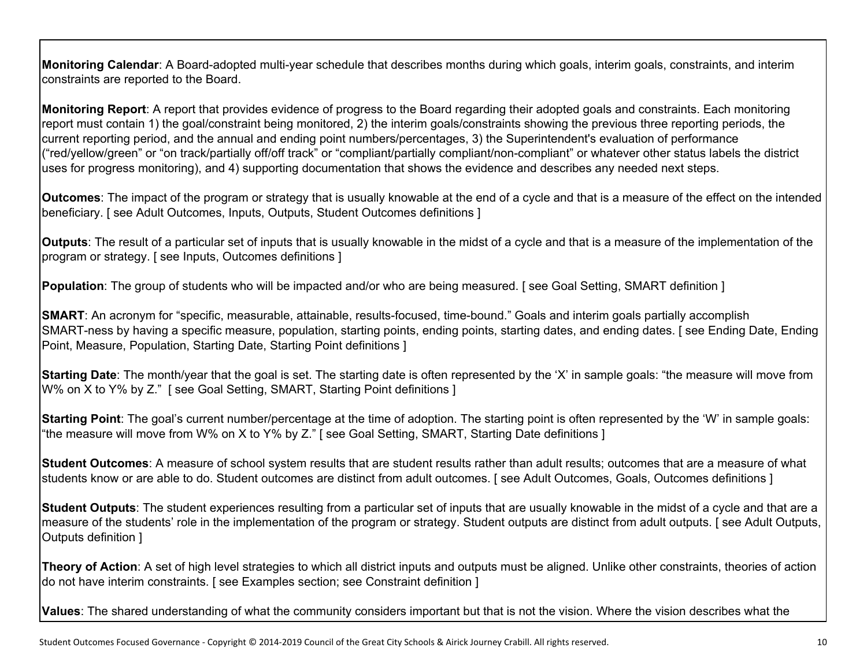**Monitoring Calendar**: A Board-adopted multi-year schedule that describes months during which goals, interim goals, constraints, and interim constraints are reported to the Board.

**Monitoring Report**: A report that provides evidence of progress to the Board regarding their adopted goals and constraints. Each monitoring report must contain 1) the goal/constraint being monitored, 2) the interim goals/constraints showing the previous three reporting periods, the current reporting period, and the annual and ending point numbers/percentages, 3) the Superintendent's evaluation of performance ("red/yellow/green" or "on track/partially off/off track" or "compliant/partially compliant/non-compliant" or whatever other status labels the district uses for progress monitoring), and 4) supporting documentation that shows the evidence and describes any needed next steps.

**Outcomes**: The impact of the program or strategy that is usually knowable at the end of a cycle and that is a measure of the effect on the intended beneficiary. [ see Adult Outcomes, Inputs, Outputs, Student Outcomes definitions ]

**Outputs**: The result of a particular set of inputs that is usually knowable in the midst of a cycle and that is a measure of the implementation of the program or strategy. [ see Inputs, Outcomes definitions ]

**Population**: The group of students who will be impacted and/or who are being measured. [see Goal Setting, SMART definition ]

**SMART**: An acronym for "specific, measurable, attainable, results-focused, time-bound." Goals and interim goals partially accomplish SMART-ness by having a specific measure, population, starting points, ending points, starting dates, and ending dates. [ see Ending Date, Ending Point, Measure, Population, Starting Date, Starting Point definitions ]

**Starting Date**: The month/year that the goal is set. The starting date is often represented by the 'X' in sample goals: "the measure will move from W% on X to Y% by Z." [ see Goal Setting, SMART, Starting Point definitions ]

**Starting Point**: The goal's current number/percentage at the time of adoption. The starting point is often represented by the 'W' in sample goals: "the measure will move from W% on X to Y% by Z." [ see Goal Setting, SMART, Starting Date definitions ]

**Student Outcomes**: A measure of school system results that are student results rather than adult results; outcomes that are a measure of what students know or are able to do. Student outcomes are distinct from adult outcomes. [see Adult Outcomes, Goals, Outcomes definitions ]

**Student Outputs**: The student experiences resulting from a particular set of inputs that are usually knowable in the midst of a cycle and that are a measure of the students' role in the implementation of the program or strategy. Student outputs are distinct from adult outputs. [ see Adult Outputs, Outputs definition ]

**Theory of Action**: A set of high level strategies to which all district inputs and outputs must be aligned. Unlike other constraints, theories of action do not have interim constraints. [ see Examples section; see Constraint definition ]

**Values**: The shared understanding of what the community considers important but that is not the vision. Where the vision describes what the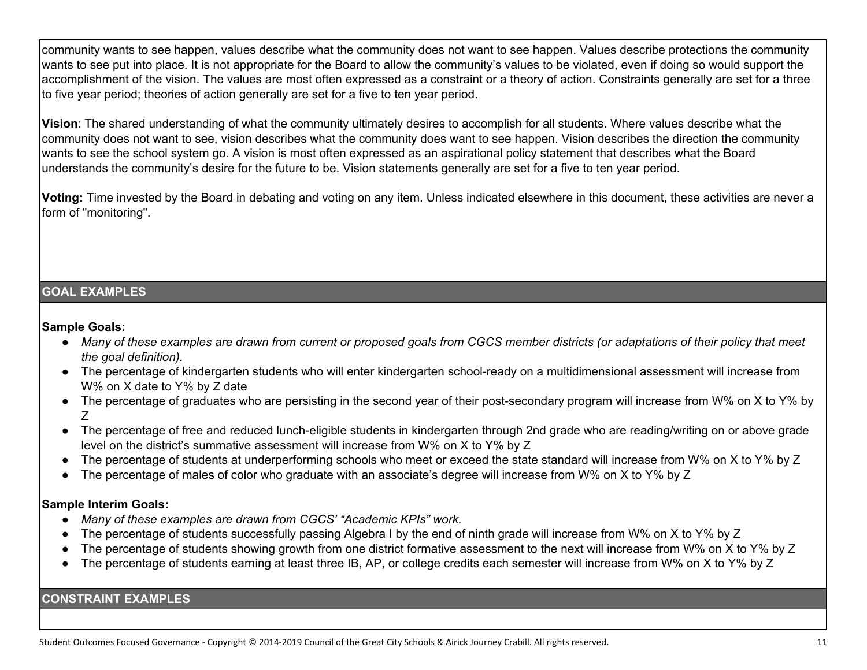community wants to see happen, values describe what the community does not want to see happen. Values describe protections the community wants to see put into place. It is not appropriate for the Board to allow the community's values to be violated, even if doing so would support the accomplishment of the vision. The values are most often expressed as a constraint or a theory of action. Constraints generally are set for a three to five year period; theories of action generally are set for a five to ten year period.

**Vision**: The shared understanding of what the community ultimately desires to accomplish for all students. Where values describe what the community does not want to see, vision describes what the community does want to see happen. Vision describes the direction the community wants to see the school system go. A vision is most often expressed as an aspirational policy statement that describes what the Board understands the community's desire for the future to be. Vision statements generally are set for a five to ten year period.

**Voting:** Time invested by the Board in debating and voting on any item. Unless indicated elsewhere in this document, these activities are never a form of "monitoring".

# **GOAL EXAMPLES**

#### **Sample Goals:**

- Many of these examples are drawn from current or proposed goals from CGCS member districts (or adaptations of their policy that meet *the goal definition).*
- The percentage of kindergarten students who will enter kindergarten school-ready on a multidimensional assessment will increase from W% on X date to Y% by Z date
- The percentage of graduates who are persisting in the second year of their post-secondary program will increase from W% on X to Y% by Z
- The percentage of free and reduced lunch-eligible students in kindergarten through 2nd grade who are reading/writing on or above grade level on the district's summative assessment will increase from W% on X to Y% by Z
- The percentage of students at underperforming schools who meet or exceed the state standard will increase from W% on X to Y% by Z
- The percentage of males of color who graduate with an associate's degree will increase from W% on X to Y% by Z

# **Sample Interim Goals:**

- *Many of these examples are drawn from CGCS' "Academic KPIs" work.*
- The percentage of students successfully passing Algebra I by the end of ninth grade will increase from W% on X to Y% by Z
- The percentage of students showing growth from one district formative assessment to the next will increase from W% on X to Y% by Z
- The percentage of students earning at least three IB, AP, or college credits each semester will increase from W% on X to Y% by Z

# **CONSTRAINT EXAMPLES**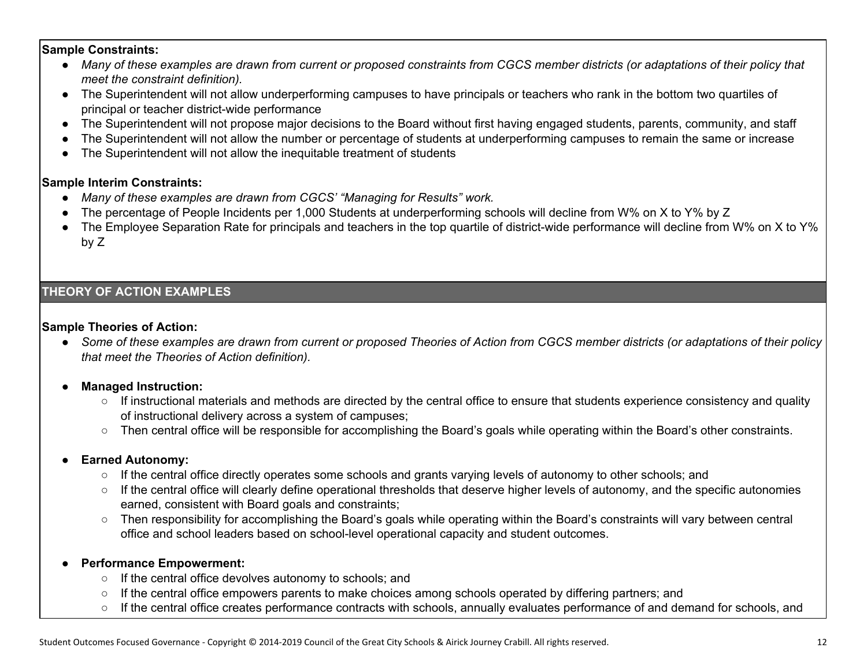#### **Sample Constraints:**

- Many of these examples are drawn from current or proposed constraints from CGCS member districts (or adaptations of their policy that *meet the constraint definition).*
- The Superintendent will not allow underperforming campuses to have principals or teachers who rank in the bottom two quartiles of principal or teacher district-wide performance
- The Superintendent will not propose major decisions to the Board without first having engaged students, parents, community, and staff
- The Superintendent will not allow the number or percentage of students at underperforming campuses to remain the same or increase
- The Superintendent will not allow the inequitable treatment of students

#### **Sample Interim Constraints:**

- *Many of these examples are drawn from CGCS' "Managing for Results" work.*
- The percentage of People Incidents per 1,000 Students at underperforming schools will decline from W% on X to Y% by Z
- The Employee Separation Rate for principals and teachers in the top quartile of district-wide performance will decline from W% on X to Y% by Z

# **THEORY OF ACTION EXAMPLES**

#### **Sample Theories of Action:**

• Some of these examples are drawn from current or proposed Theories of Action from CGCS member districts (or adaptations of their policy *that meet the Theories of Action definition).*

# ● **Managed Instruction:**

- If instructional materials and methods are directed by the central office to ensure that students experience consistency and quality of instructional delivery across a system of campuses;
- Then central office will be responsible for accomplishing the Board's goals while operating within the Board's other constraints.

# **Earned Autonomy:**

- If the central office directly operates some schools and grants varying levels of autonomy to other schools; and
- If the central office will clearly define operational thresholds that deserve higher levels of autonomy, and the specific autonomies earned, consistent with Board goals and constraints;
- Then responsibility for accomplishing the Board's goals while operating within the Board's constraints will vary between central office and school leaders based on school-level operational capacity and student outcomes.

# **Performance Empowerment:**

- If the central office devolves autonomy to schools; and
- If the central office empowers parents to make choices among schools operated by differing partners; and
- If the central office creates performance contracts with schools, annually evaluates performance of and demand for schools, and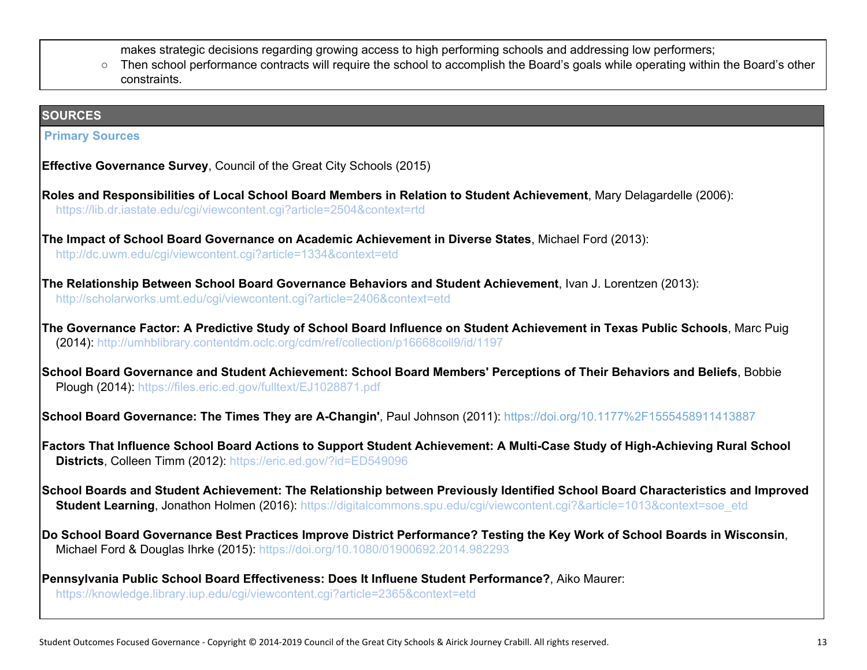makes strategic decisions regarding growing access to high performing schools and addressing low performers;

○ Then school performance contracts will require the school to accomplish the Board's goals while operating within the Board's other constraints.

## **SOURCES**

#### **Primary Sources**

- **Effective Governance Survey**, Council of the Great City Schools (2015)
- **Roles and Responsibilities of Local School Board Members in Relation to Student Achievement**, Mary Delagardelle (2006): <https://lib.dr.iastate.edu/cgi/viewcontent.cgi?article=2504&context=rtd>
- **The Impact of School Board Governance on Academic Achievement in Diverse States**, Michael Ford (2013): http://dc.uwm.edu/cgi/viewcontent.cgi?article=1334&context=etd
- **The Relationship Between School Board Governance Behaviors and Student Achievement**, Ivan J. Lorentzen (2013): http://scholarworks.umt.edu/cgi/viewcontent.cgi?article=2406&context=etd
- The Governance Factor: A Predictive Study of School Board Influence on Student Achievement in Texas Public Schools, Marc Puig (2014): http://umhblibrary.contentdm.oclc.org/cdm/ref/collection/p16668coll9/id/1197
- School Board Governance and Student Achievement: School Board Members' Perceptions of Their Behaviors and Beliefs, Bobbie Plough (2014): https://files.eric.ed.gov/fulltext/EJ1028871.pdf

**School Board Governance: The Times They are A-Changin'**, Paul Johnson (2011): https://doi.org/10.1177%2F1555458911413887

- Factors That Influence School Board Actions to Support Student Achievement: A Multi-Case Study of High-Achieving Rural School **Districts**, Colleen Timm (2012): <https://eric.ed.gov/?id=ED549096>
- School Boards and Student Achievement: The Relationship between Previously Identified School Board Characteristics and Improved **Student Learning, Jonathon Holmen (2016): https://digitalcommons.spu.edu/cgi/viewcontent.cgi?&article=1013&context=soe\_etd**
- Do School Board Governance Best Practices Improve District Performance? Testing the Key Work of School Boards in Wisconsin, Michael Ford & Douglas Ihrke (2015): <https://doi.org/10.1080/01900692.2014.982293>
- **Pennsylvania Public School Board Effectiveness: Does It Influene Student Performance?**, Aiko Maurer: <https://knowledge.library.iup.edu/cgi/viewcontent.cgi?article=2365&context=etd>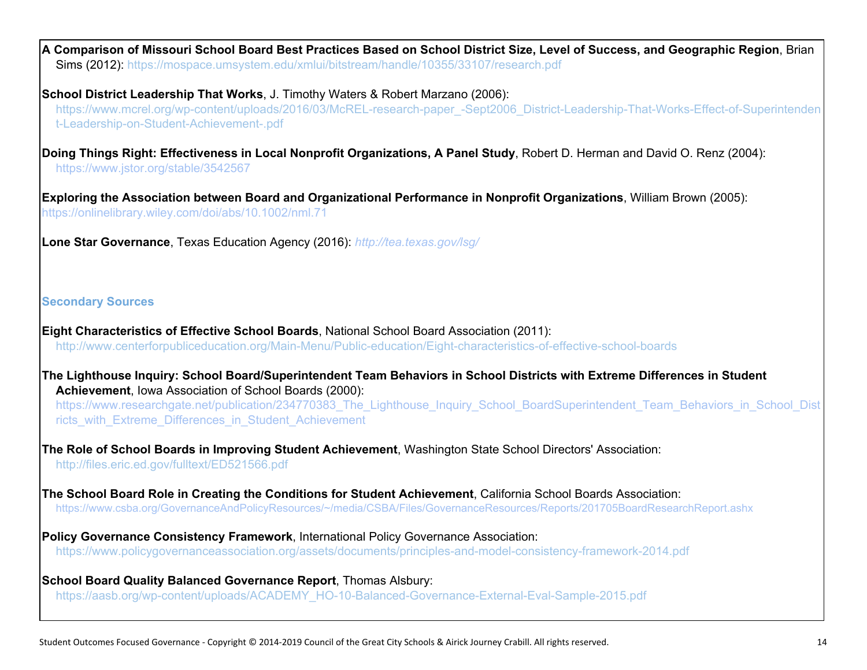A Comparison of Missouri School Board Best Practices Based on School District Size, Level of Success, and Geographic Region, Brian Sims (2012)[:](https://mospace.umsystem.edu/xmlui/bitstream/handle/10355/33107/research.pdf) <https://mospace.umsystem.edu/xmlui/bitstream/handle/10355/33107/research.pdf>

**School District Leadership That Works**, J. Timothy Waters & Robert Marzano (2006):

https://www.mcrel.org/wp-content/uploads/2016/03/McREL-research-paper\_-Sept2006\_District-Leadership-That-Works-Effect-of-Superintenden t-Leadership-on-Student-Achievement-.pdf

**Doing Things Right: Effectiveness in Local Nonprofit Organizations, A Panel Study**, Robert D. Herman and David O. Renz (2004): <https://www.jstor.org/stable/3542567>

**Exploring the Association between Board and Organizational Performance in Nonprofit Organizations**, William Brown (2005): <https://onlinelibrary.wiley.com/doi/abs/10.1002/nml.71>

**Lone Star Governance**, Texas Education Agency (2016)[:](https://onlinelibrary.wiley.com/doi/abs/10.1002/nml.71) *<http://tea.texas.gov/lsg/>*

# **Secondary Sources**

**Eight Characteristics of Effective School Boards**, National School Board Association (2011): <http://www.centerforpubliceducation.org/Main-Menu/Public-education/Eight-characteristics-of-effective-school-boards>

The Lighthouse Inquiry: School Board/Superintendent Team Behaviors in School Districts with Extreme Differences in Student **Achievement**, Iowa Association of School Boards (2000):

https://www.researchgate.net/publication/234770383\_The\_Lighthouse\_Inquiry\_School\_BoardSuperintendent\_Team\_Behaviors\_in\_School\_Dist ricts\_with\_Extreme\_Differences\_in\_Student\_Achievement

**The Role of School Boards in Improving Student Achievement**, Washington State School Directors' Association: http://files.eric.ed.gov/fulltext/ED521566.pdf

**The School Board Role in Creating the Conditions for Student Achievement**, California School Boards Association: <https://www.csba.org/GovernanceAndPolicyResources/~/media/CSBA/Files/GovernanceResources/Reports/201705BoardResearchReport.ashx>

**Policy Governance Consistency Framework**, International Policy Governance Association[:](https://www.policygovernanceassociation.org/assets/documents/principles-and-model-consistency-framework-2014.pdf) <https://www.policygovernanceassociation.org/assets/documents/principles-and-model-consistency-framework-2014.pdf>

**School Board Quality Balanced Governance Report**, Thomas Alsbury[:](https://aasb.org/wp-content/uploads/ACADEMY_HO-10-Balanced-Governance-External-Eval-Sample-2015.pdf) [https://aasb.org/wp-content/uploads/ACADEMY\\_HO-10-Balanced-Governance-External-Eval-Sample-2015.pdf](https://aasb.org/wp-content/uploads/ACADEMY_HO-10-Balanced-Governance-External-Eval-Sample-2015.pdf)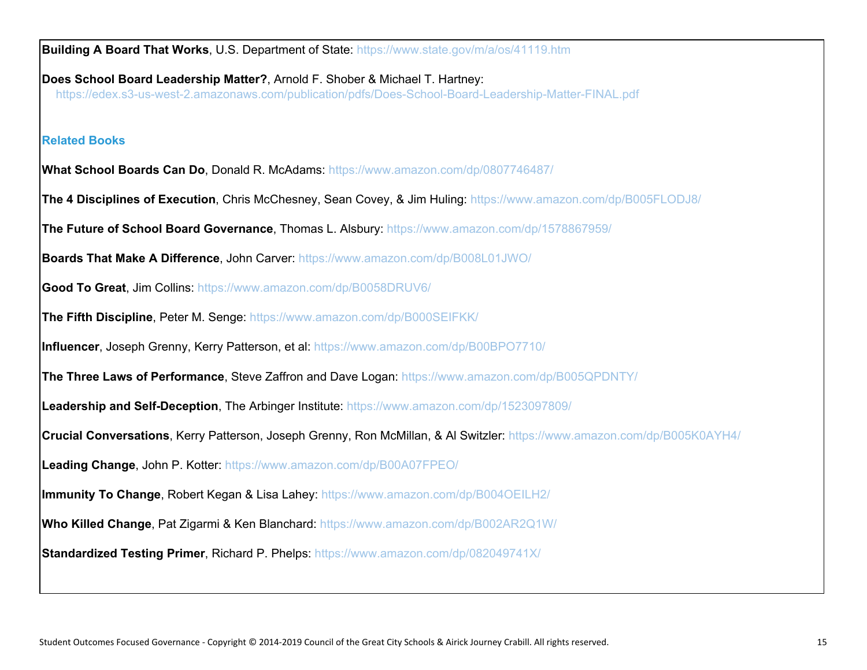**Building A Board That Works**, U.S. Department of State: https://www.state.gov/m/a/os/41119.htm **Does School Board Leadership Matter?**, Arnold F. Shober & Michael T. Hartney: https://edex.s3-us-west-2.amazonaws.com/publication/pdfs/Does-School-Board-Leadership-Matter-FINAL.pdf **Related Books What School Boards Can Do**, Donald R. McAdams[:](https://www.amazon.com/dp/0807746487/) <https://www.amazon.com/dp/0807746487/> **The 4 Disciplines of Execution**, Chris McChesney, Sean Covey, & Jim Huling: <https://www.amazon.com/dp/B005FLODJ8/> **The Future of School Board Governance**, Thomas L. Alsbury[:](https://www.amazon.com/dp/1578867959/) <https://www.amazon.com/dp/1578867959/> **Boards That Make A Difference**, John Carver: <https://www.amazon.com/dp/B008L01JWO/> **Good To Great**, Jim Collins: <https://www.amazon.com/dp/B0058DRUV6/> **The Fifth Discipline**, Peter M. Senge[:](https://www.amazon.com/dp/B000SEIFKK/) <https://www.amazon.com/dp/B000SEIFKK/> **Influencer**, Joseph Grenny, Kerry Patterson, et al: <https://www.amazon.com/dp/B00BPO7710/> **The Three Laws of Performance**, Steve Zaffron and Dave Logan: <https://www.amazon.com/dp/B005QPDNTY/> **Leadership and Self-Deception**, The Arbinger Institute: <https://www.amazon.com/dp/1523097809/> **Crucial Conversations**, Kerry Patterson, Joseph Grenny, Ron McMillan, & Al Switzler[:](https://www.amazon.com/dp/1523097809/) <https://www.amazon.com/dp/B005K0AYH4/> **Leading Change**, John P. Kotter[:](https://www.amazon.com/dp/B00A07FPEO/) <https://www.amazon.com/dp/B00A07FPEO/> **Immunity To Change**, Robert Kegan & Lisa Lahey: <https://www.amazon.com/dp/B004OEILH2/> **Who Killed Change**, Pat Zigarmi & Ken Blanchard: <https://www.amazon.com/dp/B002AR2Q1W/> **Standardized Testing Primer**, Richard P. Phelps: https://www.amazon.com/dp/082049741X/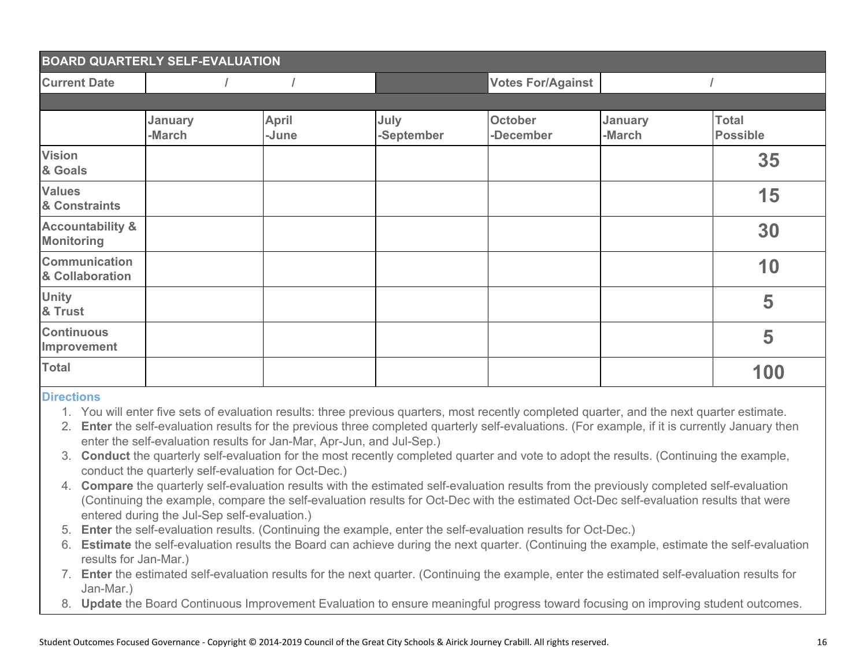| <b>BOARD QUARTERLY SELF-EVALUATION</b>           |                   |                       |                    |                             |                          |                                 |
|--------------------------------------------------|-------------------|-----------------------|--------------------|-----------------------------|--------------------------|---------------------------------|
| <b>Current Date</b>                              |                   |                       |                    | <b>Votes For/Against</b>    |                          |                                 |
|                                                  |                   |                       |                    |                             |                          |                                 |
|                                                  | January<br>-March | <b>April</b><br>-June | July<br>-September | <b>October</b><br>-December | <b>January</b><br>-March | <b>Total</b><br><b>Possible</b> |
| <b>Vision</b><br>& Goals                         |                   |                       |                    |                             |                          | 35                              |
| <b>Values</b><br>& Constraints                   |                   |                       |                    |                             |                          | 15                              |
| <b>Accountability &amp;</b><br><b>Monitoring</b> |                   |                       |                    |                             |                          | 30                              |
| <b>Communication</b><br>& Collaboration          |                   |                       |                    |                             |                          | 10                              |
| <b>Unity</b><br>& Trust                          |                   |                       |                    |                             |                          | 5                               |
| <b>Continuous</b><br>Improvement                 |                   |                       |                    |                             |                          | 5                               |
| <b>Total</b>                                     |                   |                       |                    |                             |                          | 100                             |

#### **Directions**

- 1. You will enter five sets of evaluation results: three previous quarters, most recently completed quarter, and the next quarter estimate.
- 2. **Enter** the self-evaluation results for the previous three completed quarterly self-evaluations. (For example, if it is currently January then enter the self-evaluation results for Jan-Mar, Apr-Jun, and Jul-Sep.)
- 3. **Conduct** the quarterly self-evaluation for the most recently completed quarter and vote to adopt the results. (Continuing the example, conduct the quarterly self-evaluation for Oct-Dec.)
- 4. **Compare** the quarterly self-evaluation results with the estimated self-evaluation results from the previously completed self-evaluation (Continuing the example, compare the self-evaluation results for Oct-Dec with the estimated Oct-Dec self-evaluation results that were entered during the Jul-Sep self-evaluation.)
- 5. **Enter** the self-evaluation results. (Continuing the example, enter the self-evaluation results for Oct-Dec.)
- 6. **Estimate** the self-evaluation results the Board can achieve during the next quarter. (Continuing the example, estimate the self-evaluation results for Jan-Mar.)
- 7. **Enter** the estimated self-evaluation results for the next quarter. (Continuing the example, enter the estimated self-evaluation results for Jan-Mar.)
- 8. **Update** the Board Continuous Improvement Evaluation to ensure meaningful progress toward focusing on improving student outcomes.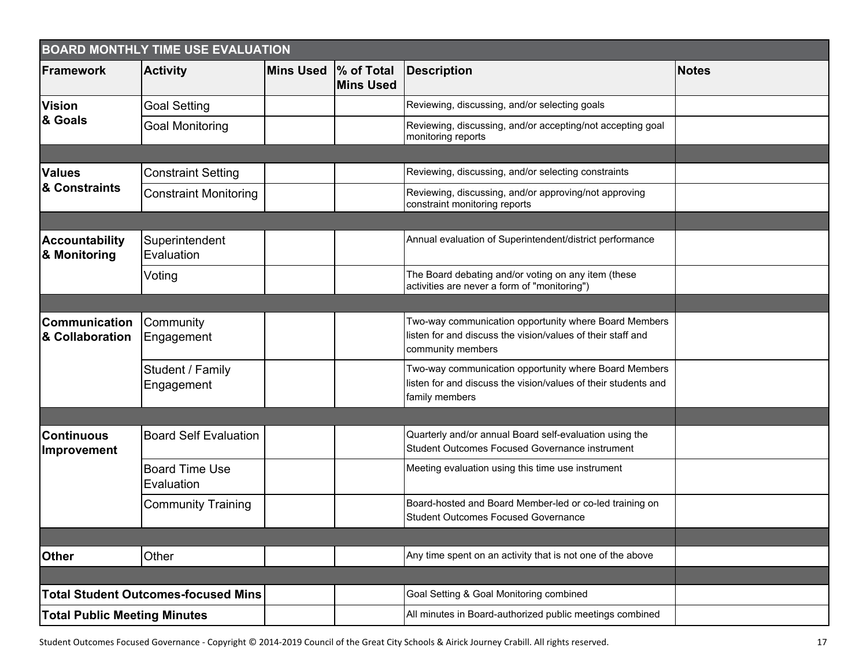| <b>BOARD MONTHLY TIME USE EVALUATION</b> |                                            |                  |                                |                                                                                                                                           |              |  |
|------------------------------------------|--------------------------------------------|------------------|--------------------------------|-------------------------------------------------------------------------------------------------------------------------------------------|--------------|--|
| <b>Framework</b>                         | <b>Activity</b>                            | <b>Mins Used</b> | % of Total<br><b>Mins Used</b> | <b>Description</b>                                                                                                                        | <b>Notes</b> |  |
| <b>Vision</b>                            | <b>Goal Setting</b>                        |                  |                                | Reviewing, discussing, and/or selecting goals                                                                                             |              |  |
| & Goals                                  | Goal Monitoring                            |                  |                                | Reviewing, discussing, and/or accepting/not accepting goal<br>monitoring reports                                                          |              |  |
|                                          |                                            |                  |                                |                                                                                                                                           |              |  |
| <b>Values</b><br>& Constraints           | <b>Constraint Setting</b>                  |                  |                                | Reviewing, discussing, and/or selecting constraints                                                                                       |              |  |
|                                          | <b>Constraint Monitoring</b>               |                  |                                | Reviewing, discussing, and/or approving/not approving<br>constraint monitoring reports                                                    |              |  |
|                                          |                                            |                  |                                |                                                                                                                                           |              |  |
| <b>Accountability</b><br>& Monitoring    | Superintendent<br>Evaluation               |                  |                                | Annual evaluation of Superintendent/district performance                                                                                  |              |  |
|                                          | Voting                                     |                  |                                | The Board debating and/or voting on any item (these<br>activities are never a form of "monitoring")                                       |              |  |
|                                          |                                            |                  |                                |                                                                                                                                           |              |  |
| <b>Communication</b><br>& Collaboration  | Community<br>Engagement                    |                  |                                | Two-way communication opportunity where Board Members<br>listen for and discuss the vision/values of their staff and<br>community members |              |  |
|                                          | Student / Family<br>Engagement             |                  |                                | Two-way communication opportunity where Board Members<br>listen for and discuss the vision/values of their students and<br>family members |              |  |
|                                          |                                            |                  |                                |                                                                                                                                           |              |  |
| <b>Continuous</b><br><b>Improvement</b>  | <b>Board Self Evaluation</b>               |                  |                                | Quarterly and/or annual Board self-evaluation using the<br>Student Outcomes Focused Governance instrument                                 |              |  |
|                                          | <b>Board Time Use</b><br>Evaluation        |                  |                                | Meeting evaluation using this time use instrument                                                                                         |              |  |
|                                          | <b>Community Training</b>                  |                  |                                | Board-hosted and Board Member-led or co-led training on<br><b>Student Outcomes Focused Governance</b>                                     |              |  |
|                                          |                                            |                  |                                |                                                                                                                                           |              |  |
| <b>Other</b>                             | Other                                      |                  |                                | Any time spent on an activity that is not one of the above                                                                                |              |  |
|                                          |                                            |                  |                                |                                                                                                                                           |              |  |
|                                          | <b>Total Student Outcomes-focused Mins</b> |                  |                                | Goal Setting & Goal Monitoring combined                                                                                                   |              |  |
| <b>Total Public Meeting Minutes</b>      |                                            |                  |                                | All minutes in Board-authorized public meetings combined                                                                                  |              |  |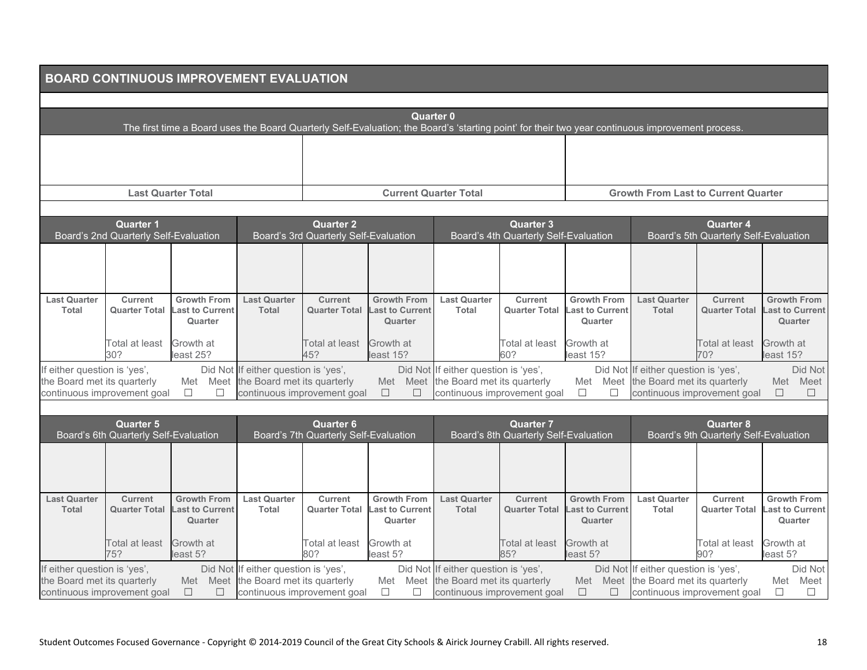|                                                                                            | <b>BOARD CONTINUOUS IMPROVEMENT EVALUATION</b>            |                                                         |                                                                                                             |                                                           |                                                                                                                                                                      |                                                                     |                                                           |                                                         |                                                             |                                                           |                                                         |
|--------------------------------------------------------------------------------------------|-----------------------------------------------------------|---------------------------------------------------------|-------------------------------------------------------------------------------------------------------------|-----------------------------------------------------------|----------------------------------------------------------------------------------------------------------------------------------------------------------------------|---------------------------------------------------------------------|-----------------------------------------------------------|---------------------------------------------------------|-------------------------------------------------------------|-----------------------------------------------------------|---------------------------------------------------------|
|                                                                                            |                                                           |                                                         |                                                                                                             |                                                           |                                                                                                                                                                      |                                                                     |                                                           |                                                         |                                                             |                                                           |                                                         |
|                                                                                            |                                                           |                                                         |                                                                                                             |                                                           | <b>Quarter 0</b><br>The first time a Board uses the Board Quarterly Self-Evaluation; the Board's 'starting point' for their two year continuous improvement process. |                                                                     |                                                           |                                                         |                                                             |                                                           |                                                         |
|                                                                                            |                                                           |                                                         |                                                                                                             |                                                           |                                                                                                                                                                      |                                                                     |                                                           |                                                         |                                                             |                                                           |                                                         |
|                                                                                            |                                                           | <b>Last Quarter Total</b>                               |                                                                                                             |                                                           | <b>Current Quarter Total</b>                                                                                                                                         |                                                                     |                                                           |                                                         |                                                             | <b>Growth From Last to Current Quarter</b>                |                                                         |
|                                                                                            |                                                           |                                                         |                                                                                                             |                                                           |                                                                                                                                                                      |                                                                     |                                                           |                                                         |                                                             |                                                           |                                                         |
|                                                                                            | <b>Quarter 1</b><br>Board's 2nd Quarterly Self-Evaluation |                                                         |                                                                                                             | <b>Quarter 2</b><br>Board's 3rd Quarterly Self-Evaluation |                                                                                                                                                                      |                                                                     | <b>Quarter 3</b><br>Board's 4th Quarterly Self-Evaluation |                                                         |                                                             | <b>Quarter 4</b><br>Board's 5th Quarterly Self-Evaluation |                                                         |
|                                                                                            |                                                           |                                                         |                                                                                                             |                                                           |                                                                                                                                                                      |                                                                     |                                                           |                                                         |                                                             |                                                           |                                                         |
| <b>Last Quarter</b><br><b>Total</b>                                                        | <b>Current</b><br><b>Quarter Total</b>                    | <b>Growth From</b><br><b>Last to Current</b><br>Quarter | <b>Last Quarter</b><br><b>Total</b>                                                                         | <b>Current</b><br><b>Quarter Total</b>                    | <b>Growth From</b><br><b>Last to Current</b><br>Quarter                                                                                                              | <b>Last Quarter</b><br><b>Total</b>                                 | <b>Current</b><br><b>Quarter Total</b>                    | <b>Growth From</b><br><b>Last to Current</b><br>Quarter | <b>Last Quarter</b><br><b>Total</b>                         | <b>Current</b><br><b>Quarter Total</b>                    | <b>Growth From</b><br><b>Last to Current</b><br>Quarter |
|                                                                                            | Total at least<br>30?                                     | Growth at<br>least 25?                                  |                                                                                                             | Total at least<br>45?                                     | Growth at<br>least 15?                                                                                                                                               |                                                                     | Total at least<br>60?                                     | Growth at<br>least 15?                                  |                                                             | Total at least<br>70?                                     | Growth at<br>least 15?                                  |
| If either question is 'yes',<br>the Board met its quarterly                                | continuous improvement goal                               | Met Meet<br>$\Box$<br>$\Box$                            | Did Not If either question is 'yes',<br>the Board met its quarterly<br>continuous improvement goal          |                                                           | Met Meet<br>$\Box$<br>$\Box$                                                                                                                                         | Did Not If either question is 'yes',<br>the Board met its quarterly | continuous improvement goal                               | Did Not<br>Met Meet<br>$\Box$<br>$\Box$                 | If either question is 'yes',<br>the Board met its quarterly | continuous improvement goal                               | Did Not<br>Met Meet<br>$\Box$<br>$\Box$                 |
|                                                                                            |                                                           |                                                         |                                                                                                             |                                                           |                                                                                                                                                                      |                                                                     |                                                           |                                                         |                                                             |                                                           |                                                         |
|                                                                                            | <b>Quarter 5</b><br>Board's 6th Quarterly Self-Evaluation |                                                         |                                                                                                             | <b>Quarter 6</b><br>Board's 7th Quarterly Self-Evaluation |                                                                                                                                                                      |                                                                     | <b>Quarter 7</b><br>Board's 8th Quarterly Self-Evaluation |                                                         |                                                             | <b>Quarter 8</b><br>Board's 9th Quarterly Self-Evaluation |                                                         |
|                                                                                            |                                                           |                                                         |                                                                                                             |                                                           |                                                                                                                                                                      |                                                                     |                                                           |                                                         |                                                             |                                                           |                                                         |
| <b>Last Quarter</b><br><b>Total</b>                                                        | <b>Current</b><br><b>Quarter Total</b>                    | <b>Growth From</b><br><b>Last to Current</b><br>Quarter | <b>Last Quarter</b><br>Total                                                                                | Current<br><b>Quarter Total</b>                           | <b>Growth From</b><br><b>Last to Current</b><br>Quarter                                                                                                              | <b>Last Quarter</b><br><b>Total</b>                                 | <b>Current</b><br><b>Quarter Total</b>                    | <b>Growth From</b><br><b>Last to Current</b><br>Quarter | <b>Last Quarter</b><br>Total                                | Current<br><b>Quarter Total</b>                           | <b>Growth From</b><br><b>Last to Current</b><br>Quarter |
|                                                                                            | Total at least<br>75?                                     | Growth at<br>least 5?                                   |                                                                                                             | Total at least<br>80?                                     | Growth at<br>least 5?                                                                                                                                                |                                                                     | Total at least<br>85?                                     | Growth at<br>least 5?                                   |                                                             | Total at least<br>90?                                     | Growth at<br>least 5?                                   |
| If either question is 'yes',<br>the Board met its quarterly<br>continuous improvement goal |                                                           | $\Box$<br>$\Box$                                        | Did Not If either question is 'yes',<br>Met Meet the Board met its quarterly<br>continuous improvement goal |                                                           | Met Meet<br>$\Box$<br>□                                                                                                                                              | Did Not If either question is 'yes',<br>the Board met its quarterly | continuous improvement goal                               | Did Not<br>Met Meet<br>$\Box$<br>$\Box$                 | If either question is 'yes',<br>the Board met its quarterly | continuous improvement goal                               | Did Not<br>Met Meet<br>$\Box$<br>$\Box$                 |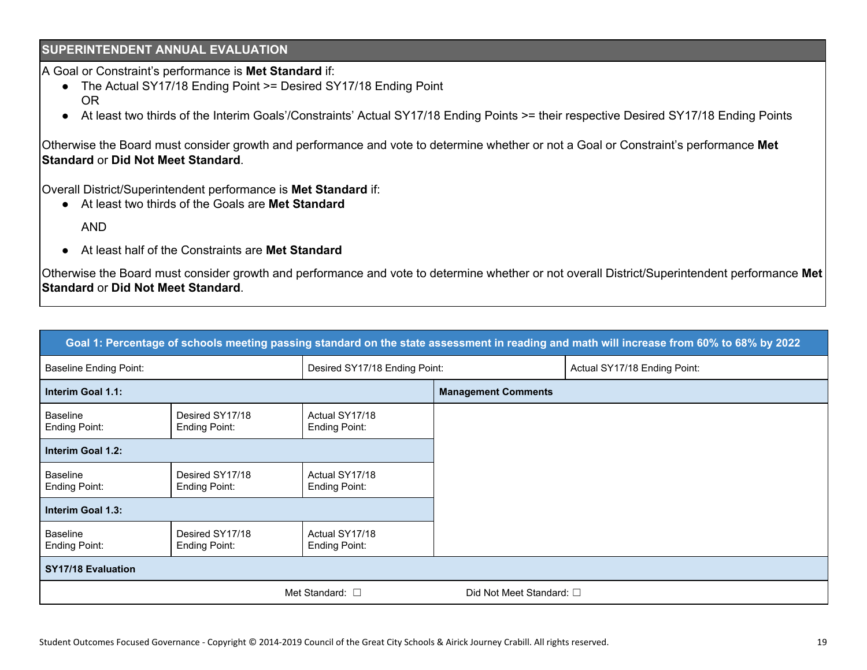#### **SUPERINTENDENT ANNUAL EVALUATION**

A Goal or Constraint's performance is **Met Standard** if:

- The Actual SY17/18 Ending Point >= Desired SY17/18 Ending Point OR
- At least two thirds of the Interim Goals'/Constraints' Actual SY17/18 Ending Points >= their respective Desired SY17/18 Ending Points

Otherwise the Board must consider growth and performance and vote to determine whether or not a Goal or Constraint's performance **Met Standard** or **Did Not Meet Standard**.

Overall District/Superintendent performance is **Met Standard** if:

● At least two thirds of the Goals are **Met Standard**

AND

● At least half of the Constraints are **Met Standard**

Otherwise the Board must consider growth and performance and vote to determine whether or not overall District/Superintendent performance **Met Standard** or **Did Not Meet Standard**.

|                                                                |                                         |                                        |                            | Goal 1: Percentage of schools meeting passing standard on the state assessment in reading and math will increase from 60% to 68% by 2022 |
|----------------------------------------------------------------|-----------------------------------------|----------------------------------------|----------------------------|------------------------------------------------------------------------------------------------------------------------------------------|
| <b>Baseline Ending Point:</b><br>Desired SY17/18 Ending Point: |                                         |                                        |                            | Actual SY17/18 Ending Point:                                                                                                             |
| Interim Goal 1.1:                                              |                                         |                                        | <b>Management Comments</b> |                                                                                                                                          |
| <b>Baseline</b><br>Ending Point:                               | Desired SY17/18<br>Ending Point:        | Actual SY17/18<br><b>Ending Point:</b> |                            |                                                                                                                                          |
| Interim Goal 1.2:                                              |                                         |                                        |                            |                                                                                                                                          |
| <b>Baseline</b><br>Ending Point:                               | Desired SY17/18<br><b>Ending Point:</b> | Actual SY17/18<br>Ending Point:        |                            |                                                                                                                                          |
| Interim Goal 1.3:                                              |                                         |                                        |                            |                                                                                                                                          |
| <b>Baseline</b><br>Ending Point:                               | Desired SY17/18<br>Ending Point:        | Actual SY17/18<br><b>Ending Point:</b> |                            |                                                                                                                                          |
| <b>SY17/18 Evaluation</b>                                      |                                         |                                        |                            |                                                                                                                                          |
| Met Standard: $\square$                                        |                                         |                                        | Did Not Meet Standard: □   |                                                                                                                                          |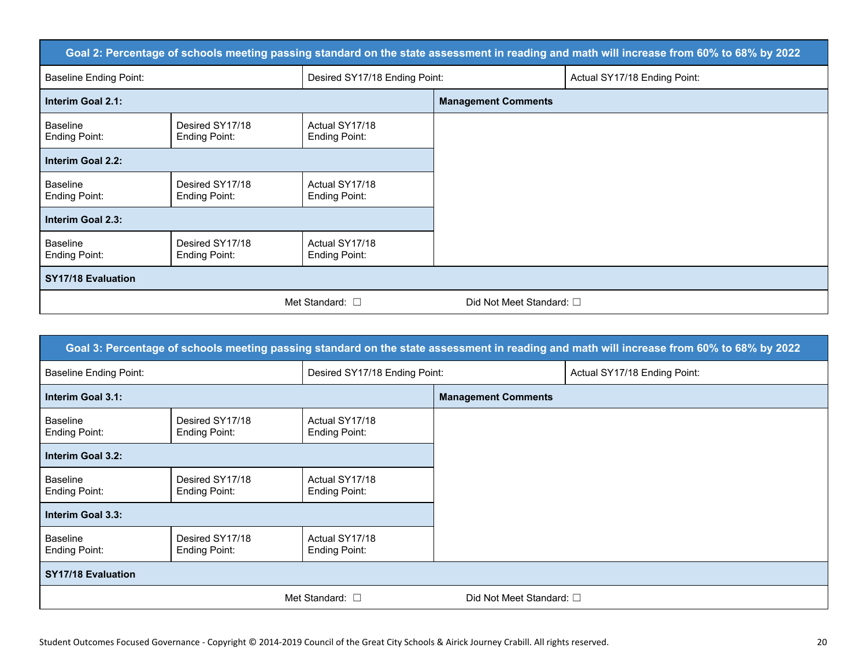|                                  |                                  |                                 |                            | Goal 2: Percentage of schools meeting passing standard on the state assessment in reading and math will increase from 60% to 68% by 2022 |
|----------------------------------|----------------------------------|---------------------------------|----------------------------|------------------------------------------------------------------------------------------------------------------------------------------|
| <b>Baseline Ending Point:</b>    |                                  | Desired SY17/18 Ending Point:   |                            | Actual SY17/18 Ending Point:                                                                                                             |
| Interim Goal 2.1:                |                                  |                                 | <b>Management Comments</b> |                                                                                                                                          |
| <b>Baseline</b><br>Ending Point: | Desired SY17/18<br>Ending Point: | Actual SY17/18<br>Ending Point: |                            |                                                                                                                                          |
| Interim Goal 2.2:                |                                  |                                 |                            |                                                                                                                                          |
| <b>Baseline</b><br>Ending Point: | Desired SY17/18<br>Ending Point: | Actual SY17/18<br>Ending Point: |                            |                                                                                                                                          |
| Interim Goal 2.3:                |                                  |                                 |                            |                                                                                                                                          |
| <b>Baseline</b><br>Ending Point: | Desired SY17/18<br>Ending Point: | Actual SY17/18<br>Ending Point: |                            |                                                                                                                                          |
| <b>SY17/18 Evaluation</b>        |                                  |                                 |                            |                                                                                                                                          |
|                                  |                                  | Met Standard: $\Box$            | Did Not Meet Standard: □   |                                                                                                                                          |

| Goal 3: Percentage of schools meeting passing standard on the state assessment in reading and math will increase from 60% to 68% by 2022 |                                  |                                        |                            |                              |  |  |
|------------------------------------------------------------------------------------------------------------------------------------------|----------------------------------|----------------------------------------|----------------------------|------------------------------|--|--|
| <b>Baseline Ending Point:</b>                                                                                                            |                                  | Desired SY17/18 Ending Point:          |                            | Actual SY17/18 Ending Point: |  |  |
| Interim Goal 3.1:                                                                                                                        |                                  |                                        | <b>Management Comments</b> |                              |  |  |
| <b>Baseline</b><br>Ending Point:                                                                                                         | Desired SY17/18<br>Ending Point: | Actual SY17/18<br><b>Ending Point:</b> |                            |                              |  |  |
| Interim Goal 3.2:                                                                                                                        |                                  |                                        |                            |                              |  |  |
| <b>Baseline</b><br>Ending Point:                                                                                                         | Desired SY17/18<br>Ending Point: | Actual SY17/18<br><b>Ending Point:</b> |                            |                              |  |  |
| Interim Goal 3.3:                                                                                                                        |                                  |                                        |                            |                              |  |  |
| <b>Baseline</b><br>Ending Point:                                                                                                         | Desired SY17/18<br>Ending Point: | Actual SY17/18<br><b>Ending Point:</b> |                            |                              |  |  |
| <b>SY17/18 Evaluation</b>                                                                                                                |                                  |                                        |                            |                              |  |  |
|                                                                                                                                          | Met Standard: $\square$          |                                        | Did Not Meet Standard: □   |                              |  |  |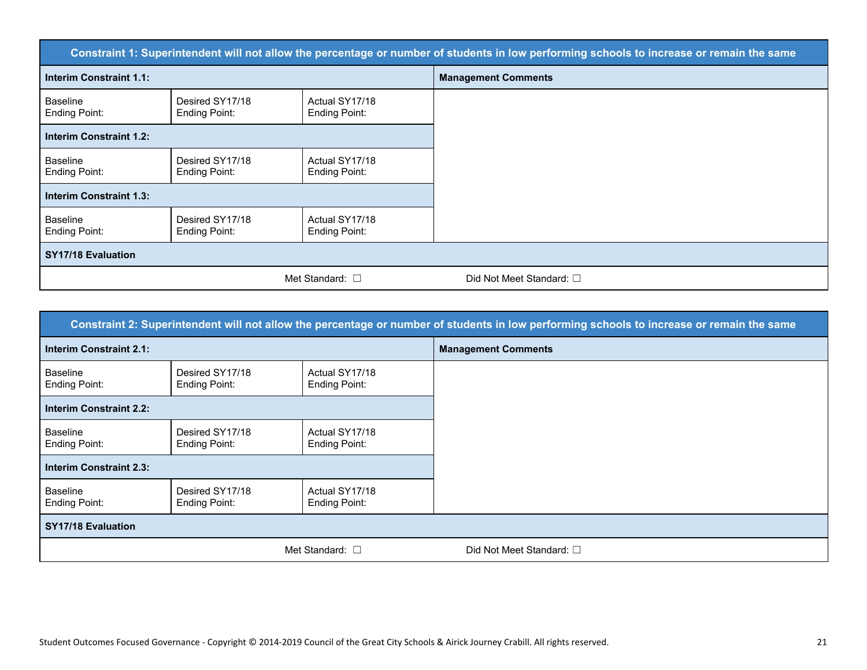| Constraint 1: Superintendent will not allow the percentage or number of students in low performing schools to increase or remain the same |                                  |                                        |                                  |  |
|-------------------------------------------------------------------------------------------------------------------------------------------|----------------------------------|----------------------------------------|----------------------------------|--|
| <b>Interim Constraint 1.1:</b>                                                                                                            |                                  |                                        | <b>Management Comments</b>       |  |
| <b>Baseline</b><br>Ending Point:                                                                                                          | Desired SY17/18<br>Ending Point: | Actual SY17/18<br><b>Ending Point:</b> |                                  |  |
| <b>Interim Constraint 1.2:</b>                                                                                                            |                                  |                                        |                                  |  |
| <b>Baseline</b><br>Ending Point:                                                                                                          | Desired SY17/18<br>Ending Point: | Actual SY17/18<br><b>Ending Point:</b> |                                  |  |
| <b>Interim Constraint 1.3:</b>                                                                                                            |                                  |                                        |                                  |  |
| <b>Baseline</b><br>Ending Point:                                                                                                          | Desired SY17/18<br>Ending Point: | Actual SY17/18<br><b>Ending Point:</b> |                                  |  |
| <b>SY17/18 Evaluation</b>                                                                                                                 |                                  |                                        |                                  |  |
|                                                                                                                                           |                                  | Met Standard: $\square$                | Did Not Meet Standard: $\square$ |  |

| Constraint 2: Superintendent will not allow the percentage or number of students in low performing schools to increase or remain the same |                                  |                                        |                            |  |  |
|-------------------------------------------------------------------------------------------------------------------------------------------|----------------------------------|----------------------------------------|----------------------------|--|--|
| <b>Interim Constraint 2.1:</b>                                                                                                            |                                  |                                        | <b>Management Comments</b> |  |  |
| <b>Baseline</b><br><b>Ending Point:</b>                                                                                                   | Desired SY17/18<br>Ending Point: | Actual SY17/18<br><b>Ending Point:</b> |                            |  |  |
| <b>Interim Constraint 2.2:</b>                                                                                                            |                                  |                                        |                            |  |  |
| <b>Baseline</b><br><b>Ending Point:</b>                                                                                                   | Desired SY17/18<br>Ending Point: | Actual SY17/18<br>Ending Point:        |                            |  |  |
| <b>Interim Constraint 2.3:</b>                                                                                                            |                                  |                                        |                            |  |  |
| <b>Baseline</b><br>Ending Point:                                                                                                          | Desired SY17/18<br>Ending Point: | Actual SY17/18<br>Ending Point:        |                            |  |  |
| <b>SY17/18 Evaluation</b>                                                                                                                 |                                  |                                        |                            |  |  |
|                                                                                                                                           | Met Standard: $\square$          |                                        | Did Not Meet Standard: □   |  |  |